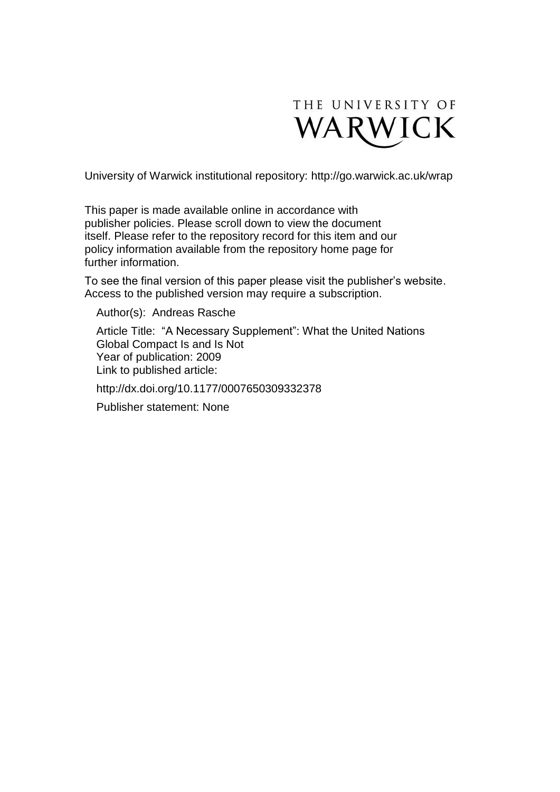

University of Warwick institutional repository:<http://go.warwick.ac.uk/wrap>

This paper is made available online in accordance with publisher policies. Please scroll down to view the document itself. Please refer to the repository record for this item and our policy information available from the repository home page for further information.

To see the final version of this paper please visit the publisher's website. Access to the published version may require a subscription.

Author(s): Andreas Rasche

Article Title: "A Necessary Supplement": What the United Nations Global Compact Is and Is Not Year of publication: 2009 Link to published article:

http://dx.doi.org/10.1177/0007650309332378

Publisher statement: None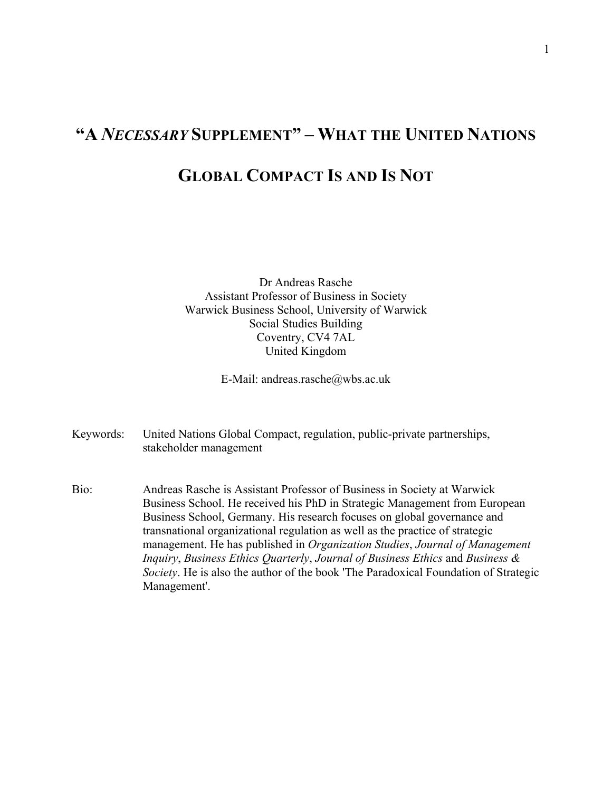# **"A** *NECESSARY* **SUPPLEMENT" – WHAT THE UNITED NATIONS GLOBAL COMPACT IS AND IS NOT**

Dr Andreas Rasche Assistant Professor of Business in Society Warwick Business School, University of Warwick Social Studies Building Coventry, CV4 7AL United Kingdom

E-Mail: andreas.rasche@wbs.ac.uk

Keywords: United Nations Global Compact, regulation, public-private partnerships, stakeholder management

Bio: Andreas Rasche is Assistant Professor of Business in Society at Warwick Business School. He received his PhD in Strategic Management from European Business School, Germany. His research focuses on global governance and transnational organizational regulation as well as the practice of strategic management. He has published in *Organization Studies*, *Journal of Management Inquiry*, *Business Ethics Quarterly*, *Journal of Business Ethics* and *Business & Society*. He is also the author of the book 'The Paradoxical Foundation of Strategic Management'.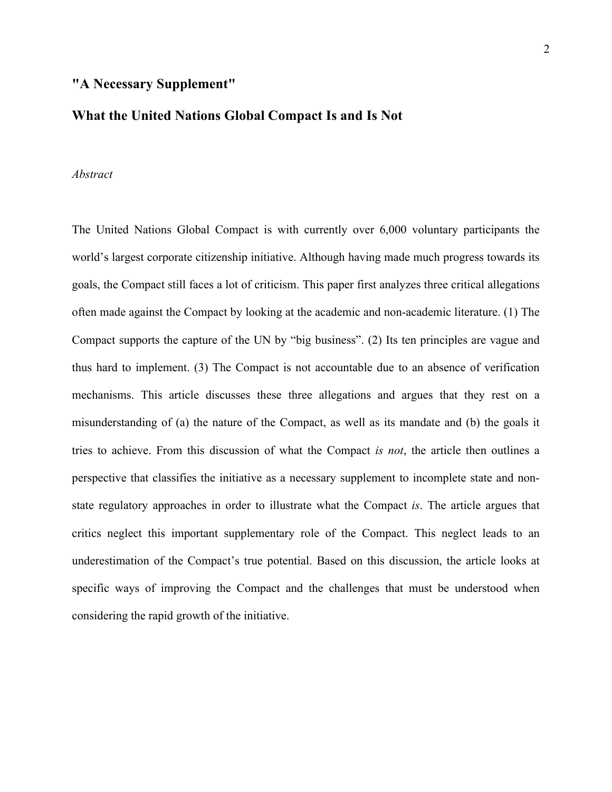## **"A Necessary Supplement"**

### **What the United Nations Global Compact Is and Is Not**

#### *Abstract*

The United Nations Global Compact is with currently over 6,000 voluntary participants the world's largest corporate citizenship initiative. Although having made much progress towards its goals, the Compact still faces a lot of criticism. This paper first analyzes three critical allegations often made against the Compact by looking at the academic and non-academic literature. (1) The Compact supports the capture of the UN by "big business". (2) Its ten principles are vague and thus hard to implement. (3) The Compact is not accountable due to an absence of verification mechanisms. This article discusses these three allegations and argues that they rest on a misunderstanding of (a) the nature of the Compact, as well as its mandate and (b) the goals it tries to achieve. From this discussion of what the Compact *is not*, the article then outlines a perspective that classifies the initiative as a necessary supplement to incomplete state and nonstate regulatory approaches in order to illustrate what the Compact *is*. The article argues that critics neglect this important supplementary role of the Compact. This neglect leads to an underestimation of the Compact's true potential. Based on this discussion, the article looks at specific ways of improving the Compact and the challenges that must be understood when considering the rapid growth of the initiative.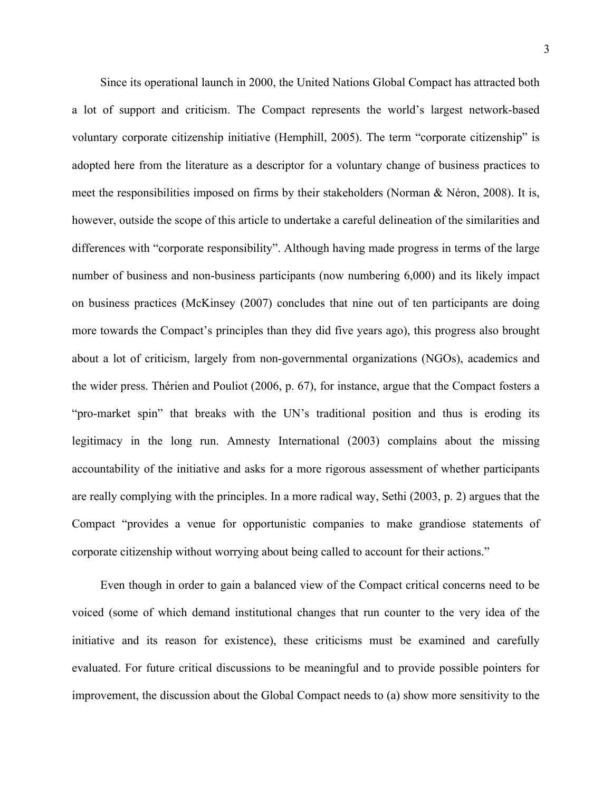Since its operational launch in 2000, the United Nations Global Compact has attracted both a lot of support and criticism. The Compact represents the world's largest network-based voluntary corporate citizenship initiative (Hemphill, 2005). The term "corporate citizenship" is adopted here from the literature as a descriptor for a voluntary change of business practices to meet the responsibilities imposed on firms by their stakeholders (Norman & Néron, 2008). It is, however, outside the scope of this article to undertake a careful delineation of the similarities and differences with "corporate responsibility". Although having made progress in terms of the large number of business and non-business participants (now numbering 6,000) and its likely impact on business practices (McKinsey (2007) concludes that nine out of ten participants are doing more towards the Compact's principles than they did five years ago), this progress also brought about a lot of criticism, largely from non-governmental organizations (NGOs), academics and the wider press. Thérien and Pouliot (2006, p. 67), for instance, argue that the Compact fosters a "pro-market spin" that breaks with the UN's traditional position and thus is eroding its legitimacy in the long run. Amnesty International (2003) complains about the missing accountability of the initiative and asks for a more rigorous assessment of whether participants are really complying with the principles. In a more radical way, Sethi (2003, p. 2) argues that the Compact "provides a venue for opportunistic companies to make grandiose statements of corporate citizenship without worrying about being called to account for their actions."

Even though in order to gain a balanced view of the Compact critical concerns need to be voiced (some of which demand institutional changes that run counter to the very idea of the initiative and its reason for existence), these criticisms must be examined and carefully evaluated. For future critical discussions to be meaningful and to provide possible pointers for improvement, the discussion about the Global Compact needs to (a) show more sensitivity to the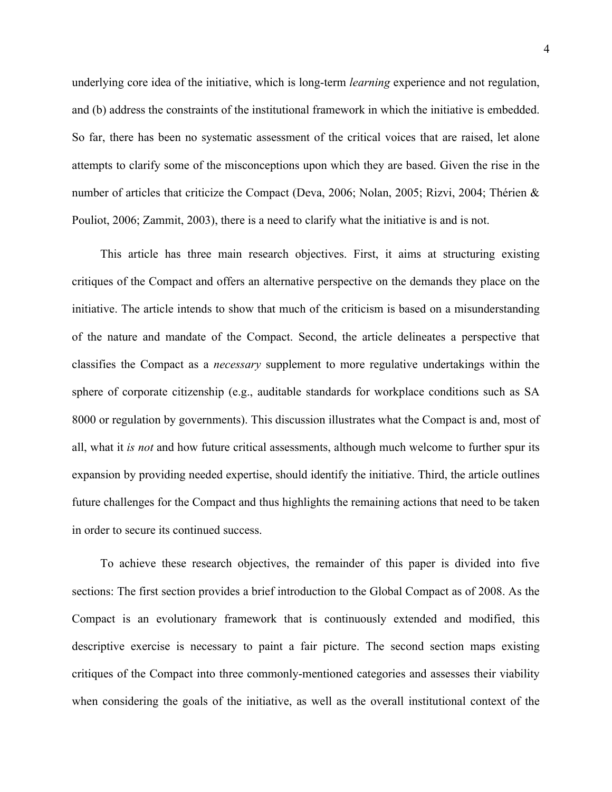underlying core idea of the initiative, which is long-term *learning* experience and not regulation, and (b) address the constraints of the institutional framework in which the initiative is embedded. So far, there has been no systematic assessment of the critical voices that are raised, let alone attempts to clarify some of the misconceptions upon which they are based. Given the rise in the number of articles that criticize the Compact (Deva, 2006; Nolan, 2005; Rizvi, 2004; Thérien & Pouliot, 2006; Zammit, 2003), there is a need to clarify what the initiative is and is not.

This article has three main research objectives. First, it aims at structuring existing critiques of the Compact and offers an alternative perspective on the demands they place on the initiative. The article intends to show that much of the criticism is based on a misunderstanding of the nature and mandate of the Compact. Second, the article delineates a perspective that classifies the Compact as a *necessary* supplement to more regulative undertakings within the sphere of corporate citizenship (e.g., auditable standards for workplace conditions such as SA 8000 or regulation by governments). This discussion illustrates what the Compact is and, most of all, what it *is not* and how future critical assessments, although much welcome to further spur its expansion by providing needed expertise, should identify the initiative. Third, the article outlines future challenges for the Compact and thus highlights the remaining actions that need to be taken in order to secure its continued success.

To achieve these research objectives, the remainder of this paper is divided into five sections: The first section provides a brief introduction to the Global Compact as of 2008. As the Compact is an evolutionary framework that is continuously extended and modified, this descriptive exercise is necessary to paint a fair picture. The second section maps existing critiques of the Compact into three commonly-mentioned categories and assesses their viability when considering the goals of the initiative, as well as the overall institutional context of the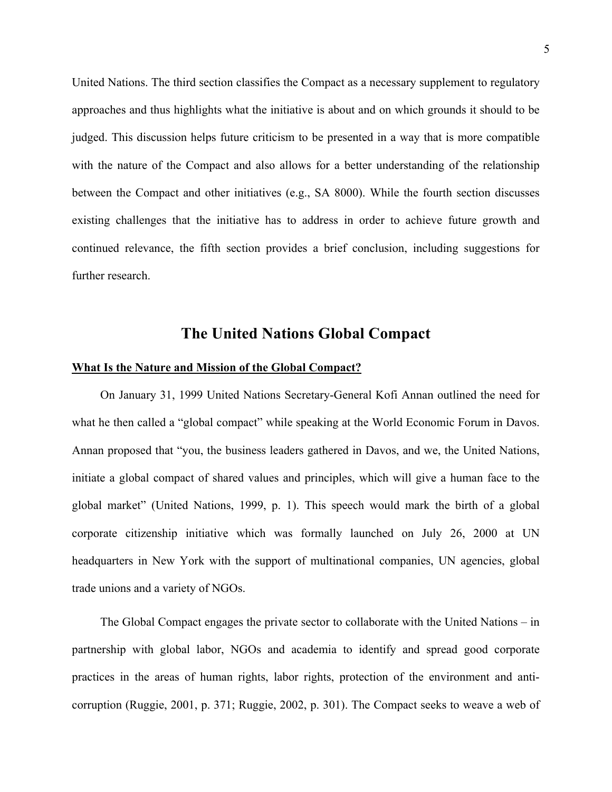United Nations. The third section classifies the Compact as a necessary supplement to regulatory approaches and thus highlights what the initiative is about and on which grounds it should to be judged. This discussion helps future criticism to be presented in a way that is more compatible with the nature of the Compact and also allows for a better understanding of the relationship between the Compact and other initiatives (e.g., SA 8000). While the fourth section discusses existing challenges that the initiative has to address in order to achieve future growth and continued relevance, the fifth section provides a brief conclusion, including suggestions for further research.

## **The United Nations Global Compact**

#### **What Is the Nature and Mission of the Global Compact?**

On January 31, 1999 United Nations Secretary-General Kofi Annan outlined the need for what he then called a "global compact" while speaking at the World Economic Forum in Davos. Annan proposed that "you, the business leaders gathered in Davos, and we, the United Nations, initiate a global compact of shared values and principles, which will give a human face to the global market" (United Nations, 1999, p. 1). This speech would mark the birth of a global corporate citizenship initiative which was formally launched on July 26, 2000 at UN headquarters in New York with the support of multinational companies, UN agencies, global trade unions and a variety of NGOs.

The Global Compact engages the private sector to collaborate with the United Nations – in partnership with global labor, NGOs and academia to identify and spread good corporate practices in the areas of human rights, labor rights, protection of the environment and anticorruption (Ruggie, 2001, p. 371; Ruggie, 2002, p. 301). The Compact seeks to weave a web of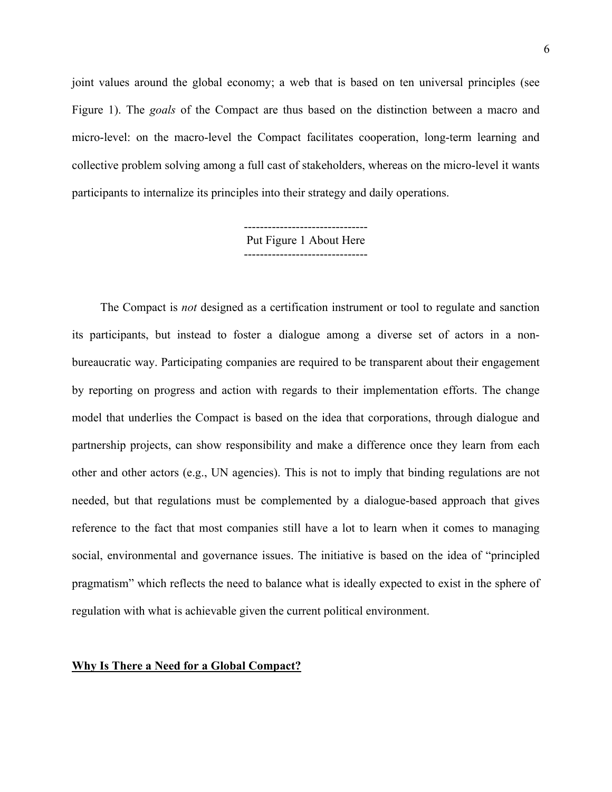joint values around the global economy; a web that is based on ten universal principles (see Figure 1). The *goals* of the Compact are thus based on the distinction between a macro and micro-level: on the macro-level the Compact facilitates cooperation, long-term learning and collective problem solving among a full cast of stakeholders, whereas on the micro-level it wants participants to internalize its principles into their strategy and daily operations.

> ------------------------------- Put Figure 1 About Here -------------------------------

The Compact is *not* designed as a certification instrument or tool to regulate and sanction its participants, but instead to foster a dialogue among a diverse set of actors in a nonbureaucratic way. Participating companies are required to be transparent about their engagement by reporting on progress and action with regards to their implementation efforts. The change model that underlies the Compact is based on the idea that corporations, through dialogue and partnership projects, can show responsibility and make a difference once they learn from each other and other actors (e.g., UN agencies). This is not to imply that binding regulations are not needed, but that regulations must be complemented by a dialogue-based approach that gives reference to the fact that most companies still have a lot to learn when it comes to managing social, environmental and governance issues. The initiative is based on the idea of "principled pragmatism" which reflects the need to balance what is ideally expected to exist in the sphere of regulation with what is achievable given the current political environment.

#### **Why Is There a Need for a Global Compact?**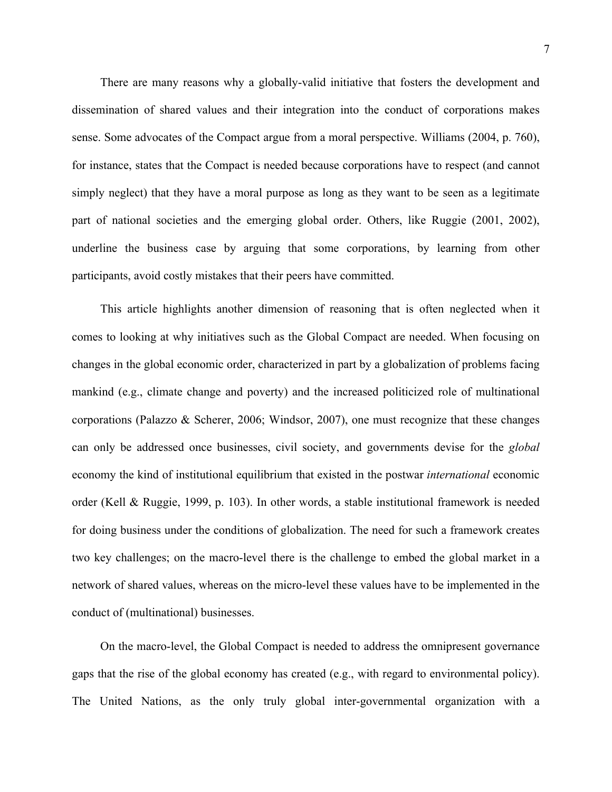There are many reasons why a globally-valid initiative that fosters the development and dissemination of shared values and their integration into the conduct of corporations makes sense. Some advocates of the Compact argue from a moral perspective. Williams (2004, p. 760), for instance, states that the Compact is needed because corporations have to respect (and cannot simply neglect) that they have a moral purpose as long as they want to be seen as a legitimate part of national societies and the emerging global order. Others, like Ruggie (2001, 2002), underline the business case by arguing that some corporations, by learning from other participants, avoid costly mistakes that their peers have committed.

This article highlights another dimension of reasoning that is often neglected when it comes to looking at why initiatives such as the Global Compact are needed. When focusing on changes in the global economic order, characterized in part by a globalization of problems facing mankind (e.g., climate change and poverty) and the increased politicized role of multinational corporations (Palazzo & Scherer, 2006; Windsor, 2007), one must recognize that these changes can only be addressed once businesses, civil society, and governments devise for the *global* economy the kind of institutional equilibrium that existed in the postwar *international* economic order (Kell & Ruggie, 1999, p. 103). In other words, a stable institutional framework is needed for doing business under the conditions of globalization. The need for such a framework creates two key challenges; on the macro-level there is the challenge to embed the global market in a network of shared values, whereas on the micro-level these values have to be implemented in the conduct of (multinational) businesses.

On the macro-level, the Global Compact is needed to address the omnipresent governance gaps that the rise of the global economy has created (e.g., with regard to environmental policy). The United Nations, as the only truly global inter-governmental organization with a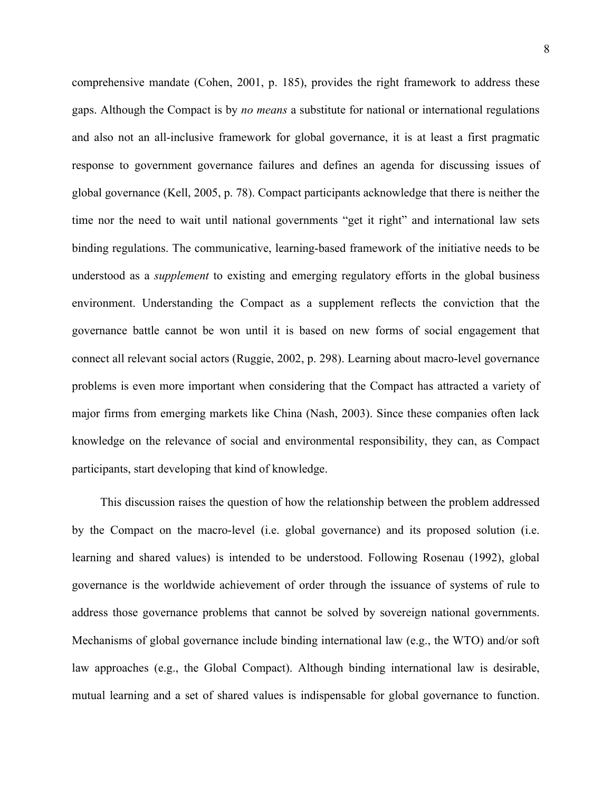comprehensive mandate (Cohen, 2001, p. 185), provides the right framework to address these gaps. Although the Compact is by *no means* a substitute for national or international regulations and also not an all-inclusive framework for global governance, it is at least a first pragmatic response to government governance failures and defines an agenda for discussing issues of global governance (Kell, 2005, p. 78). Compact participants acknowledge that there is neither the time nor the need to wait until national governments "get it right" and international law sets binding regulations. The communicative, learning-based framework of the initiative needs to be understood as a *supplement* to existing and emerging regulatory efforts in the global business environment. Understanding the Compact as a supplement reflects the conviction that the governance battle cannot be won until it is based on new forms of social engagement that connect all relevant social actors (Ruggie, 2002, p. 298). Learning about macro-level governance problems is even more important when considering that the Compact has attracted a variety of major firms from emerging markets like China (Nash, 2003). Since these companies often lack knowledge on the relevance of social and environmental responsibility, they can, as Compact participants, start developing that kind of knowledge.

This discussion raises the question of how the relationship between the problem addressed by the Compact on the macro-level (i.e. global governance) and its proposed solution (i.e. learning and shared values) is intended to be understood. Following Rosenau (1992), global governance is the worldwide achievement of order through the issuance of systems of rule to address those governance problems that cannot be solved by sovereign national governments. Mechanisms of global governance include binding international law (e.g., the WTO) and/or soft law approaches (e.g., the Global Compact). Although binding international law is desirable, mutual learning and a set of shared values is indispensable for global governance to function.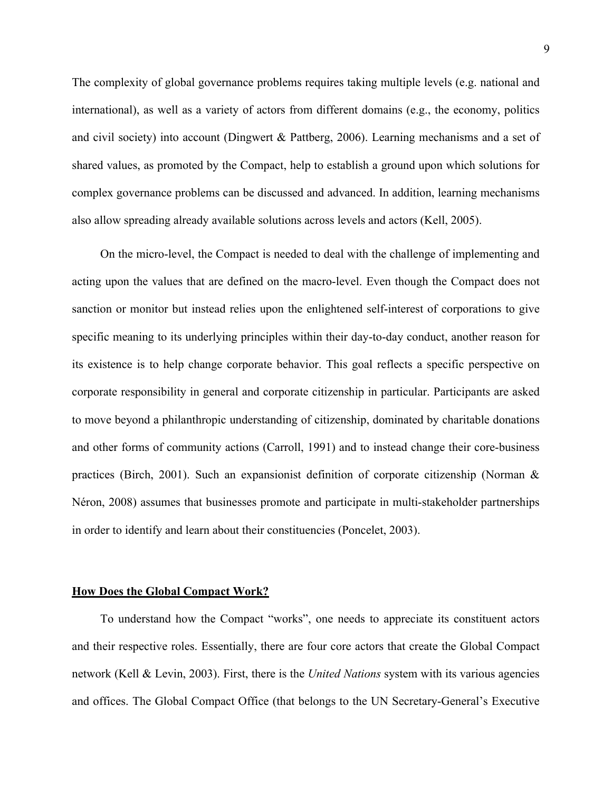The complexity of global governance problems requires taking multiple levels (e.g. national and international), as well as a variety of actors from different domains (e.g., the economy, politics and civil society) into account (Dingwert & Pattberg, 2006). Learning mechanisms and a set of shared values, as promoted by the Compact, help to establish a ground upon which solutions for complex governance problems can be discussed and advanced. In addition, learning mechanisms also allow spreading already available solutions across levels and actors (Kell, 2005).

On the micro-level, the Compact is needed to deal with the challenge of implementing and acting upon the values that are defined on the macro-level. Even though the Compact does not sanction or monitor but instead relies upon the enlightened self-interest of corporations to give specific meaning to its underlying principles within their day-to-day conduct, another reason for its existence is to help change corporate behavior. This goal reflects a specific perspective on corporate responsibility in general and corporate citizenship in particular. Participants are asked to move beyond a philanthropic understanding of citizenship, dominated by charitable donations and other forms of community actions (Carroll, 1991) and to instead change their core-business practices (Birch, 2001). Such an expansionist definition of corporate citizenship (Norman & Néron, 2008) assumes that businesses promote and participate in multi-stakeholder partnerships in order to identify and learn about their constituencies (Poncelet, 2003).

#### **How Does the Global Compact Work?**

To understand how the Compact "works", one needs to appreciate its constituent actors and their respective roles. Essentially, there are four core actors that create the Global Compact network (Kell & Levin, 2003). First, there is the *United Nations* system with its various agencies and offices. The Global Compact Office (that belongs to the UN Secretary-General's Executive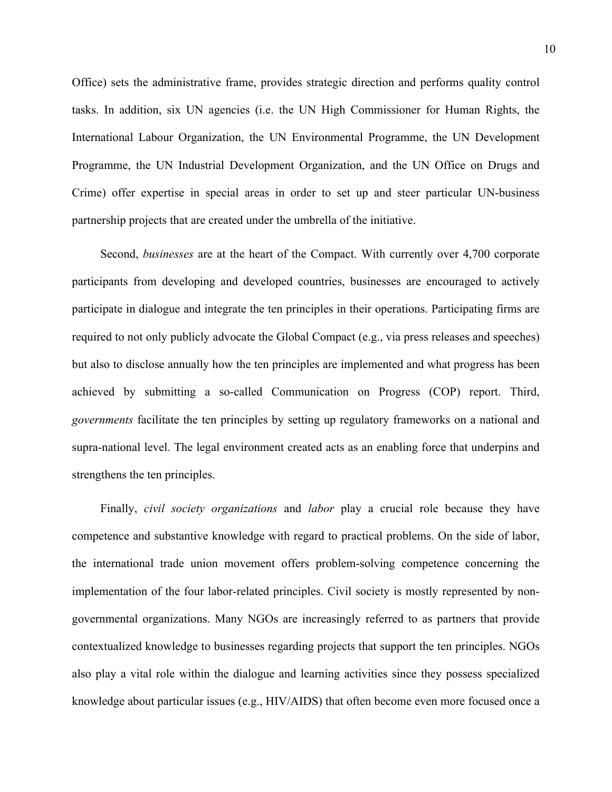Office) sets the administrative frame, provides strategic direction and performs quality control tasks. In addition, six UN agencies (i.e. the UN High Commissioner for Human Rights, the International Labour Organization, the UN Environmental Programme, the UN Development Programme, the UN Industrial Development Organization, and the UN Office on Drugs and Crime) offer expertise in special areas in order to set up and steer particular UN-business partnership projects that are created under the umbrella of the initiative.

Second, *businesses* are at the heart of the Compact. With currently over 4,700 corporate participants from developing and developed countries, businesses are encouraged to actively participate in dialogue and integrate the ten principles in their operations. Participating firms are required to not only publicly advocate the Global Compact (e.g., via press releases and speeches) but also to disclose annually how the ten principles are implemented and what progress has been achieved by submitting a so-called Communication on Progress (COP) report. Third, *governments* facilitate the ten principles by setting up regulatory frameworks on a national and supra-national level. The legal environment created acts as an enabling force that underpins and strengthens the ten principles.

Finally, *civil society organizations* and *labor* play a crucial role because they have competence and substantive knowledge with regard to practical problems. On the side of labor, the international trade union movement offers problem-solving competence concerning the implementation of the four labor-related principles. Civil society is mostly represented by nongovernmental organizations. Many NGOs are increasingly referred to as partners that provide contextualized knowledge to businesses regarding projects that support the ten principles. NGOs also play a vital role within the dialogue and learning activities since they possess specialized knowledge about particular issues (e.g., HIV/AIDS) that often become even more focused once a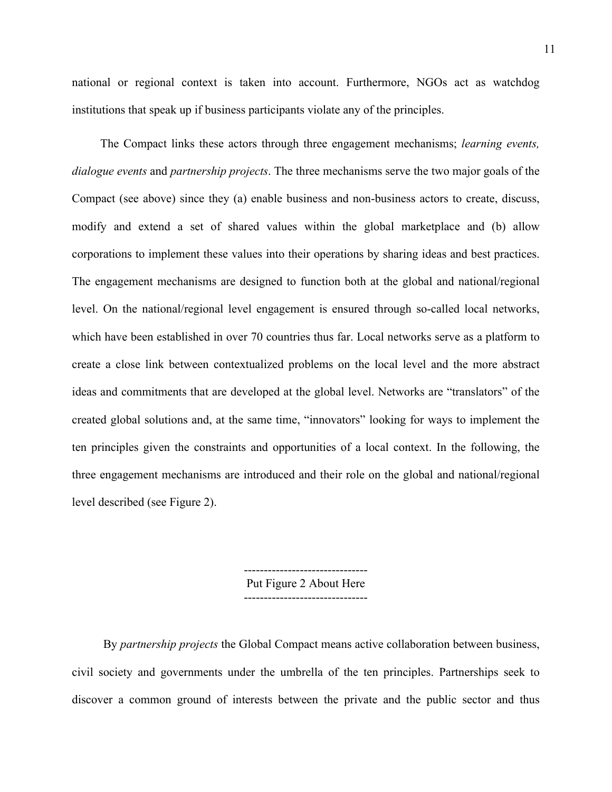national or regional context is taken into account. Furthermore, NGOs act as watchdog institutions that speak up if business participants violate any of the principles.

The Compact links these actors through three engagement mechanisms; *learning events, dialogue events* and *partnership projects*. The three mechanisms serve the two major goals of the Compact (see above) since they (a) enable business and non-business actors to create, discuss, modify and extend a set of shared values within the global marketplace and (b) allow corporations to implement these values into their operations by sharing ideas and best practices. The engagement mechanisms are designed to function both at the global and national/regional level. On the national/regional level engagement is ensured through so-called local networks, which have been established in over 70 countries thus far. Local networks serve as a platform to create a close link between contextualized problems on the local level and the more abstract ideas and commitments that are developed at the global level. Networks are "translators" of the created global solutions and, at the same time, "innovators" looking for ways to implement the ten principles given the constraints and opportunities of a local context. In the following, the three engagement mechanisms are introduced and their role on the global and national/regional level described (see Figure 2).

> Put Figure 2 About Here -------------------------------

-------------------------------

 By *partnership projects* the Global Compact means active collaboration between business, civil society and governments under the umbrella of the ten principles. Partnerships seek to discover a common ground of interests between the private and the public sector and thus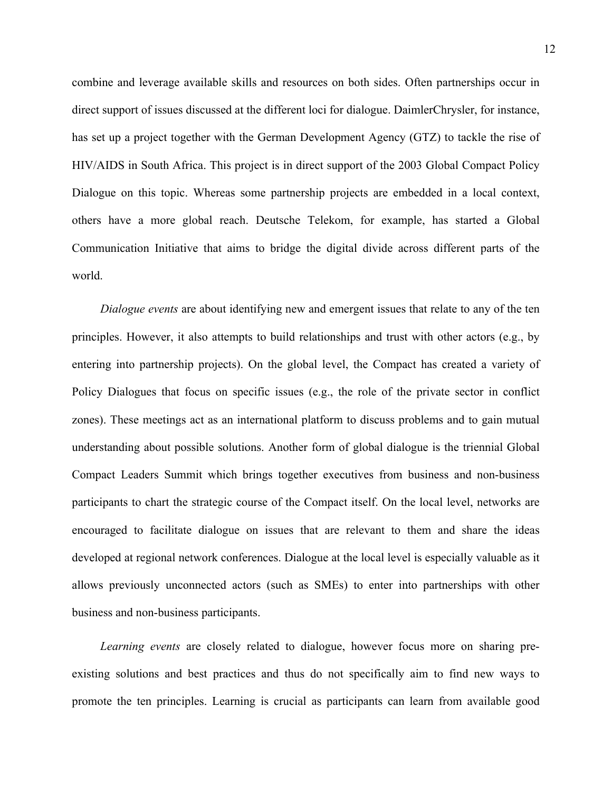combine and leverage available skills and resources on both sides. Often partnerships occur in direct support of issues discussed at the different loci for dialogue. DaimlerChrysler, for instance, has set up a project together with the German Development Agency (GTZ) to tackle the rise of HIV/AIDS in South Africa. This project is in direct support of the 2003 Global Compact Policy Dialogue on this topic. Whereas some partnership projects are embedded in a local context, others have a more global reach. Deutsche Telekom, for example, has started a Global Communication Initiative that aims to bridge the digital divide across different parts of the world.

*Dialogue events* are about identifying new and emergent issues that relate to any of the ten principles. However, it also attempts to build relationships and trust with other actors (e.g., by entering into partnership projects). On the global level, the Compact has created a variety of Policy Dialogues that focus on specific issues (e.g., the role of the private sector in conflict zones). These meetings act as an international platform to discuss problems and to gain mutual understanding about possible solutions. Another form of global dialogue is the triennial Global Compact Leaders Summit which brings together executives from business and non-business participants to chart the strategic course of the Compact itself. On the local level, networks are encouraged to facilitate dialogue on issues that are relevant to them and share the ideas developed at regional network conferences. Dialogue at the local level is especially valuable as it allows previously unconnected actors (such as SMEs) to enter into partnerships with other business and non-business participants.

*Learning events* are closely related to dialogue, however focus more on sharing preexisting solutions and best practices and thus do not specifically aim to find new ways to promote the ten principles. Learning is crucial as participants can learn from available good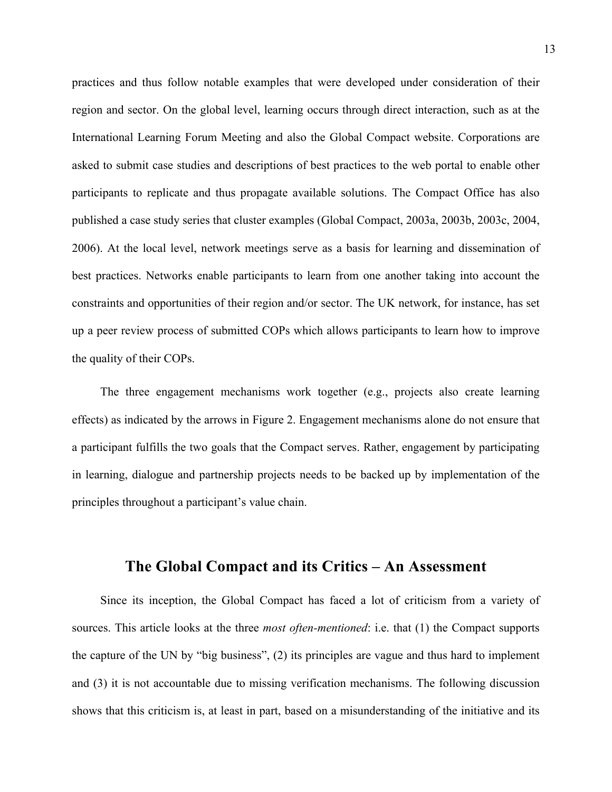practices and thus follow notable examples that were developed under consideration of their region and sector. On the global level, learning occurs through direct interaction, such as at the International Learning Forum Meeting and also the Global Compact website. Corporations are asked to submit case studies and descriptions of best practices to the web portal to enable other participants to replicate and thus propagate available solutions. The Compact Office has also published a case study series that cluster examples (Global Compact, 2003a, 2003b, 2003c, 2004, 2006). At the local level, network meetings serve as a basis for learning and dissemination of best practices. Networks enable participants to learn from one another taking into account the constraints and opportunities of their region and/or sector. The UK network, for instance, has set up a peer review process of submitted COPs which allows participants to learn how to improve the quality of their COPs.

The three engagement mechanisms work together (e.g., projects also create learning effects) as indicated by the arrows in Figure 2. Engagement mechanisms alone do not ensure that a participant fulfills the two goals that the Compact serves. Rather, engagement by participating in learning, dialogue and partnership projects needs to be backed up by implementation of the principles throughout a participant's value chain.

## **The Global Compact and its Critics – An Assessment**

Since its inception, the Global Compact has faced a lot of criticism from a variety of sources. This article looks at the three *most often-mentioned*: i.e. that (1) the Compact supports the capture of the UN by "big business", (2) its principles are vague and thus hard to implement and (3) it is not accountable due to missing verification mechanisms. The following discussion shows that this criticism is, at least in part, based on a misunderstanding of the initiative and its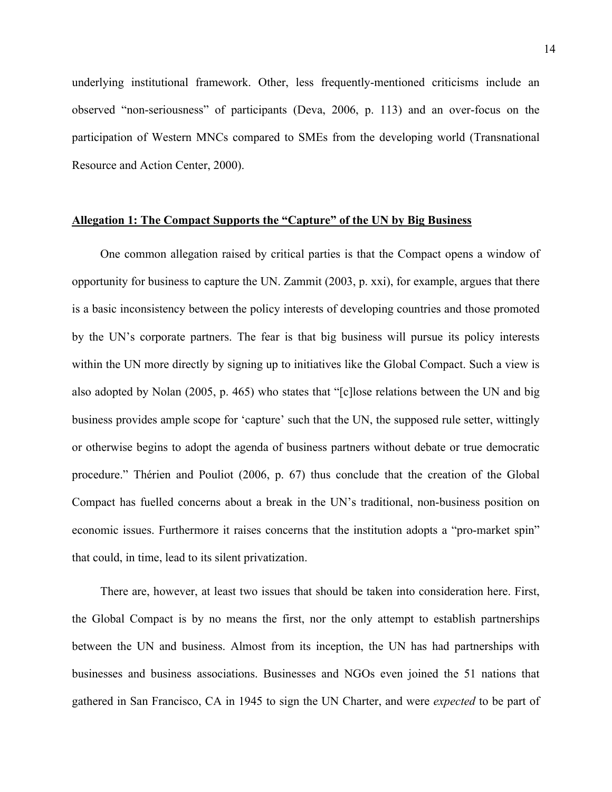underlying institutional framework. Other, less frequently-mentioned criticisms include an observed "non-seriousness" of participants (Deva, 2006, p. 113) and an over-focus on the participation of Western MNCs compared to SMEs from the developing world (Transnational Resource and Action Center, 2000).

#### **Allegation 1: The Compact Supports the "Capture" of the UN by Big Business**

One common allegation raised by critical parties is that the Compact opens a window of opportunity for business to capture the UN. Zammit (2003, p. xxi), for example, argues that there is a basic inconsistency between the policy interests of developing countries and those promoted by the UN's corporate partners. The fear is that big business will pursue its policy interests within the UN more directly by signing up to initiatives like the Global Compact. Such a view is also adopted by Nolan (2005, p. 465) who states that "[c]lose relations between the UN and big business provides ample scope for 'capture' such that the UN, the supposed rule setter, wittingly or otherwise begins to adopt the agenda of business partners without debate or true democratic procedure." Thérien and Pouliot (2006, p. 67) thus conclude that the creation of the Global Compact has fuelled concerns about a break in the UN's traditional, non-business position on economic issues. Furthermore it raises concerns that the institution adopts a "pro-market spin" that could, in time, lead to its silent privatization.

There are, however, at least two issues that should be taken into consideration here. First, the Global Compact is by no means the first, nor the only attempt to establish partnerships between the UN and business. Almost from its inception, the UN has had partnerships with businesses and business associations. Businesses and NGOs even joined the 51 nations that gathered in San Francisco, CA in 1945 to sign the UN Charter, and were *expected* to be part of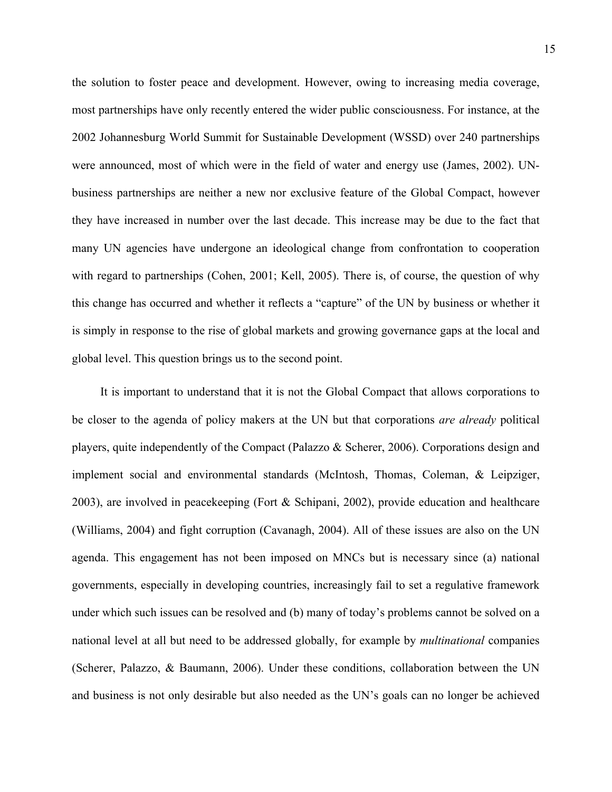the solution to foster peace and development. However, owing to increasing media coverage, most partnerships have only recently entered the wider public consciousness. For instance, at the 2002 Johannesburg World Summit for Sustainable Development (WSSD) over 240 partnerships were announced, most of which were in the field of water and energy use (James, 2002). UNbusiness partnerships are neither a new nor exclusive feature of the Global Compact, however they have increased in number over the last decade. This increase may be due to the fact that many UN agencies have undergone an ideological change from confrontation to cooperation with regard to partnerships (Cohen, 2001; Kell, 2005). There is, of course, the question of why this change has occurred and whether it reflects a "capture" of the UN by business or whether it is simply in response to the rise of global markets and growing governance gaps at the local and global level. This question brings us to the second point.

It is important to understand that it is not the Global Compact that allows corporations to be closer to the agenda of policy makers at the UN but that corporations *are already* political players, quite independently of the Compact (Palazzo & Scherer, 2006). Corporations design and implement social and environmental standards (McIntosh, Thomas, Coleman, & Leipziger, 2003), are involved in peacekeeping (Fort & Schipani, 2002), provide education and healthcare (Williams, 2004) and fight corruption (Cavanagh, 2004). All of these issues are also on the UN agenda. This engagement has not been imposed on MNCs but is necessary since (a) national governments, especially in developing countries, increasingly fail to set a regulative framework under which such issues can be resolved and (b) many of today's problems cannot be solved on a national level at all but need to be addressed globally, for example by *multinational* companies (Scherer, Palazzo, & Baumann, 2006). Under these conditions, collaboration between the UN and business is not only desirable but also needed as the UN's goals can no longer be achieved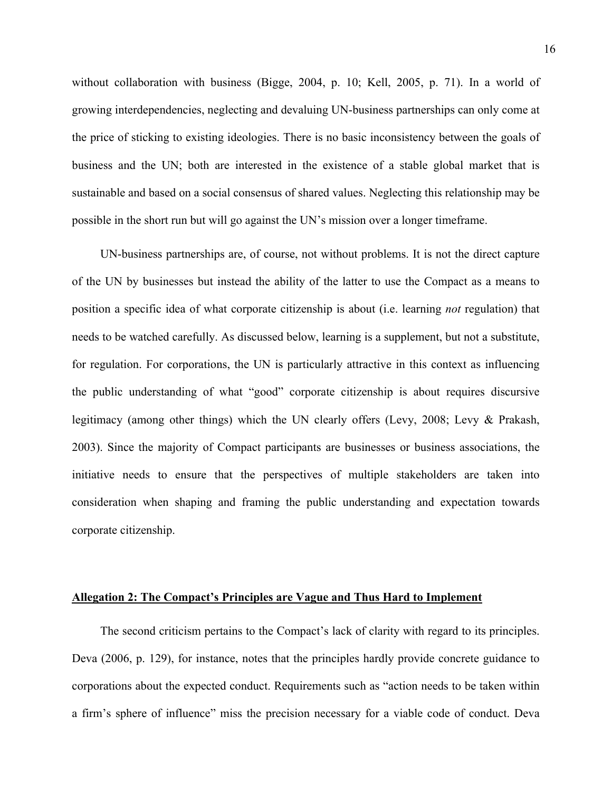without collaboration with business (Bigge, 2004, p. 10; Kell, 2005, p. 71). In a world of growing interdependencies, neglecting and devaluing UN-business partnerships can only come at the price of sticking to existing ideologies. There is no basic inconsistency between the goals of business and the UN; both are interested in the existence of a stable global market that is sustainable and based on a social consensus of shared values. Neglecting this relationship may be possible in the short run but will go against the UN's mission over a longer timeframe.

UN-business partnerships are, of course, not without problems. It is not the direct capture of the UN by businesses but instead the ability of the latter to use the Compact as a means to position a specific idea of what corporate citizenship is about (i.e. learning *not* regulation) that needs to be watched carefully. As discussed below, learning is a supplement, but not a substitute, for regulation. For corporations, the UN is particularly attractive in this context as influencing the public understanding of what "good" corporate citizenship is about requires discursive legitimacy (among other things) which the UN clearly offers (Levy, 2008; Levy & Prakash, 2003). Since the majority of Compact participants are businesses or business associations, the initiative needs to ensure that the perspectives of multiple stakeholders are taken into consideration when shaping and framing the public understanding and expectation towards corporate citizenship.

#### **Allegation 2: The Compact's Principles are Vague and Thus Hard to Implement**

The second criticism pertains to the Compact's lack of clarity with regard to its principles. Deva (2006, p. 129), for instance, notes that the principles hardly provide concrete guidance to corporations about the expected conduct. Requirements such as "action needs to be taken within a firm's sphere of influence" miss the precision necessary for a viable code of conduct. Deva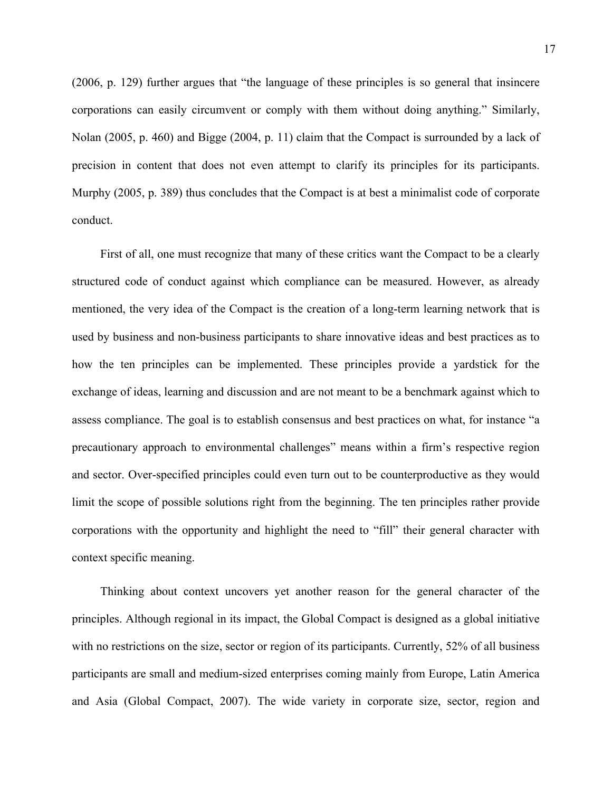(2006, p. 129) further argues that "the language of these principles is so general that insincere corporations can easily circumvent or comply with them without doing anything." Similarly, Nolan (2005, p. 460) and Bigge (2004, p. 11) claim that the Compact is surrounded by a lack of precision in content that does not even attempt to clarify its principles for its participants. Murphy (2005, p. 389) thus concludes that the Compact is at best a minimalist code of corporate conduct.

First of all, one must recognize that many of these critics want the Compact to be a clearly structured code of conduct against which compliance can be measured. However, as already mentioned, the very idea of the Compact is the creation of a long-term learning network that is used by business and non-business participants to share innovative ideas and best practices as to how the ten principles can be implemented. These principles provide a yardstick for the exchange of ideas, learning and discussion and are not meant to be a benchmark against which to assess compliance. The goal is to establish consensus and best practices on what, for instance "a precautionary approach to environmental challenges" means within a firm's respective region and sector. Over-specified principles could even turn out to be counterproductive as they would limit the scope of possible solutions right from the beginning. The ten principles rather provide corporations with the opportunity and highlight the need to "fill" their general character with context specific meaning.

Thinking about context uncovers yet another reason for the general character of the principles. Although regional in its impact, the Global Compact is designed as a global initiative with no restrictions on the size, sector or region of its participants. Currently, 52% of all business participants are small and medium-sized enterprises coming mainly from Europe, Latin America and Asia (Global Compact, 2007). The wide variety in corporate size, sector, region and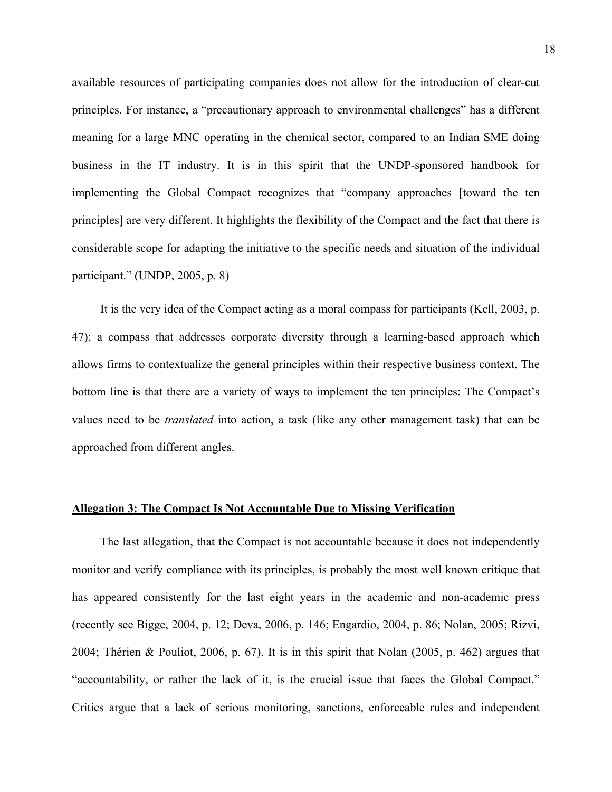available resources of participating companies does not allow for the introduction of clear-cut principles. For instance, a "precautionary approach to environmental challenges" has a different meaning for a large MNC operating in the chemical sector, compared to an Indian SME doing business in the IT industry. It is in this spirit that the UNDP-sponsored handbook for implementing the Global Compact recognizes that "company approaches [toward the ten principles] are very different. It highlights the flexibility of the Compact and the fact that there is considerable scope for adapting the initiative to the specific needs and situation of the individual participant." (UNDP, 2005, p. 8)

It is the very idea of the Compact acting as a moral compass for participants (Kell, 2003, p. 47); a compass that addresses corporate diversity through a learning-based approach which allows firms to contextualize the general principles within their respective business context. The bottom line is that there are a variety of ways to implement the ten principles: The Compact's values need to be *translated* into action, a task (like any other management task) that can be approached from different angles.

#### **Allegation 3: The Compact Is Not Accountable Due to Missing Verification**

The last allegation, that the Compact is not accountable because it does not independently monitor and verify compliance with its principles, is probably the most well known critique that has appeared consistently for the last eight years in the academic and non-academic press (recently see Bigge, 2004, p. 12; Deva, 2006, p. 146; Engardio, 2004, p. 86; Nolan, 2005; Rizvi, 2004; Thérien & Pouliot, 2006, p. 67). It is in this spirit that Nolan (2005, p. 462) argues that "accountability, or rather the lack of it, is the crucial issue that faces the Global Compact." Critics argue that a lack of serious monitoring, sanctions, enforceable rules and independent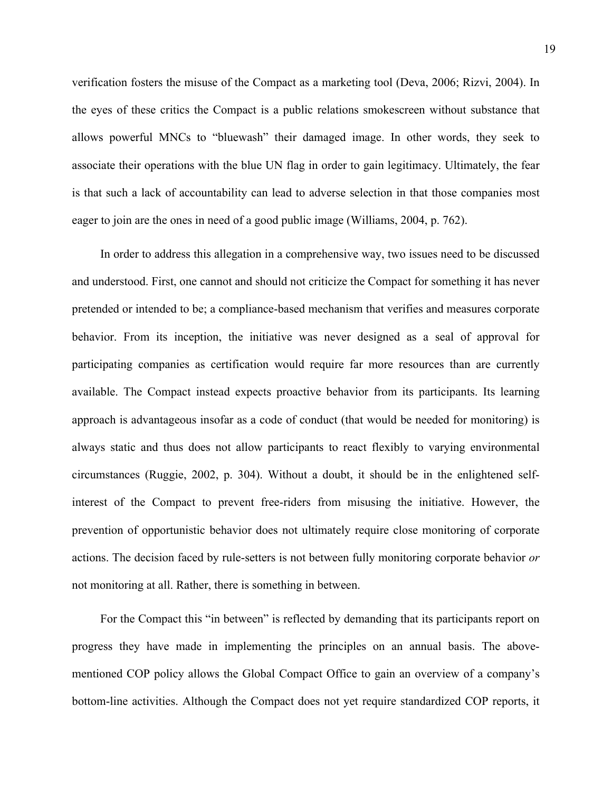verification fosters the misuse of the Compact as a marketing tool (Deva, 2006; Rizvi, 2004). In the eyes of these critics the Compact is a public relations smokescreen without substance that allows powerful MNCs to "bluewash" their damaged image. In other words, they seek to associate their operations with the blue UN flag in order to gain legitimacy. Ultimately, the fear is that such a lack of accountability can lead to adverse selection in that those companies most eager to join are the ones in need of a good public image (Williams, 2004, p. 762).

In order to address this allegation in a comprehensive way, two issues need to be discussed and understood. First, one cannot and should not criticize the Compact for something it has never pretended or intended to be; a compliance-based mechanism that verifies and measures corporate behavior. From its inception, the initiative was never designed as a seal of approval for participating companies as certification would require far more resources than are currently available. The Compact instead expects proactive behavior from its participants. Its learning approach is advantageous insofar as a code of conduct (that would be needed for monitoring) is always static and thus does not allow participants to react flexibly to varying environmental circumstances (Ruggie, 2002, p. 304). Without a doubt, it should be in the enlightened selfinterest of the Compact to prevent free-riders from misusing the initiative. However, the prevention of opportunistic behavior does not ultimately require close monitoring of corporate actions. The decision faced by rule-setters is not between fully monitoring corporate behavior *or* not monitoring at all. Rather, there is something in between.

For the Compact this "in between" is reflected by demanding that its participants report on progress they have made in implementing the principles on an annual basis. The abovementioned COP policy allows the Global Compact Office to gain an overview of a company's bottom-line activities. Although the Compact does not yet require standardized COP reports, it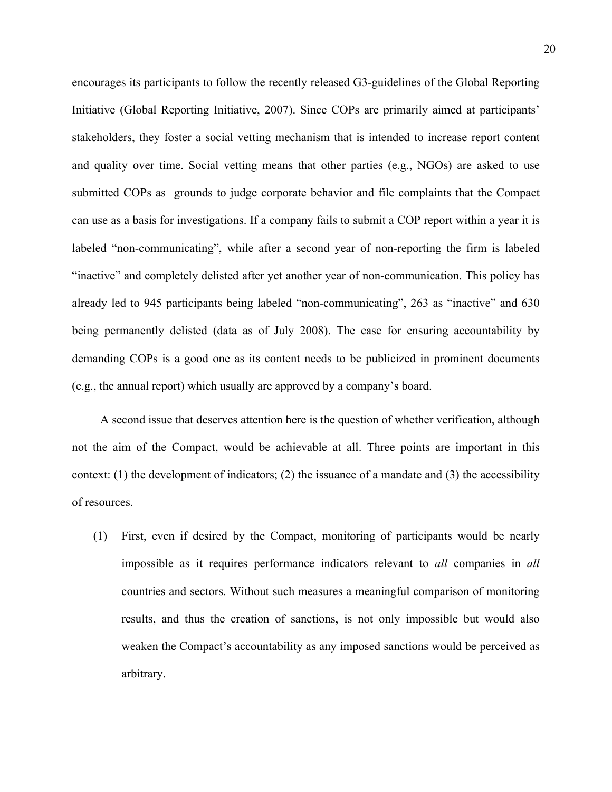encourages its participants to follow the recently released G3-guidelines of the Global Reporting Initiative (Global Reporting Initiative, 2007). Since COPs are primarily aimed at participants' stakeholders, they foster a social vetting mechanism that is intended to increase report content and quality over time. Social vetting means that other parties (e.g., NGOs) are asked to use submitted COPs as grounds to judge corporate behavior and file complaints that the Compact can use as a basis for investigations. If a company fails to submit a COP report within a year it is labeled "non-communicating", while after a second year of non-reporting the firm is labeled "inactive" and completely delisted after yet another year of non-communication. This policy has already led to 945 participants being labeled "non-communicating", 263 as "inactive" and 630 being permanently delisted (data as of July 2008). The case for ensuring accountability by demanding COPs is a good one as its content needs to be publicized in prominent documents (e.g., the annual report) which usually are approved by a company's board.

A second issue that deserves attention here is the question of whether verification, although not the aim of the Compact, would be achievable at all. Three points are important in this context:  $(1)$  the development of indicators;  $(2)$  the issuance of a mandate and  $(3)$  the accessibility of resources.

(1) First, even if desired by the Compact, monitoring of participants would be nearly impossible as it requires performance indicators relevant to *all* companies in *all*  countries and sectors. Without such measures a meaningful comparison of monitoring results, and thus the creation of sanctions, is not only impossible but would also weaken the Compact's accountability as any imposed sanctions would be perceived as arbitrary.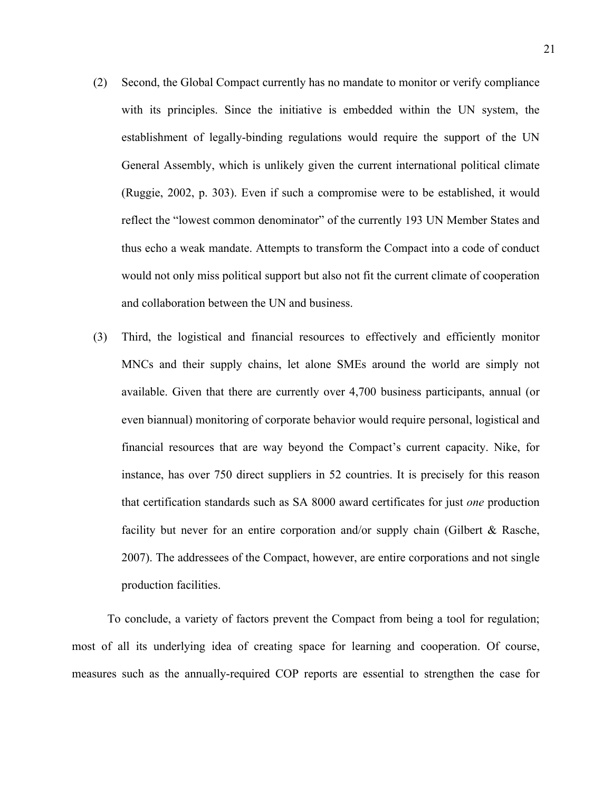- (2) Second, the Global Compact currently has no mandate to monitor or verify compliance with its principles. Since the initiative is embedded within the UN system, the establishment of legally-binding regulations would require the support of the UN General Assembly, which is unlikely given the current international political climate (Ruggie, 2002, p. 303). Even if such a compromise were to be established, it would reflect the "lowest common denominator" of the currently 193 UN Member States and thus echo a weak mandate. Attempts to transform the Compact into a code of conduct would not only miss political support but also not fit the current climate of cooperation and collaboration between the UN and business.
- (3) Third, the logistical and financial resources to effectively and efficiently monitor MNCs and their supply chains, let alone SMEs around the world are simply not available. Given that there are currently over 4,700 business participants, annual (or even biannual) monitoring of corporate behavior would require personal, logistical and financial resources that are way beyond the Compact's current capacity. Nike, for instance, has over 750 direct suppliers in 52 countries. It is precisely for this reason that certification standards such as SA 8000 award certificates for just *one* production facility but never for an entire corporation and/or supply chain (Gilbert & Rasche, 2007). The addressees of the Compact, however, are entire corporations and not single production facilities.

To conclude, a variety of factors prevent the Compact from being a tool for regulation; most of all its underlying idea of creating space for learning and cooperation. Of course, measures such as the annually-required COP reports are essential to strengthen the case for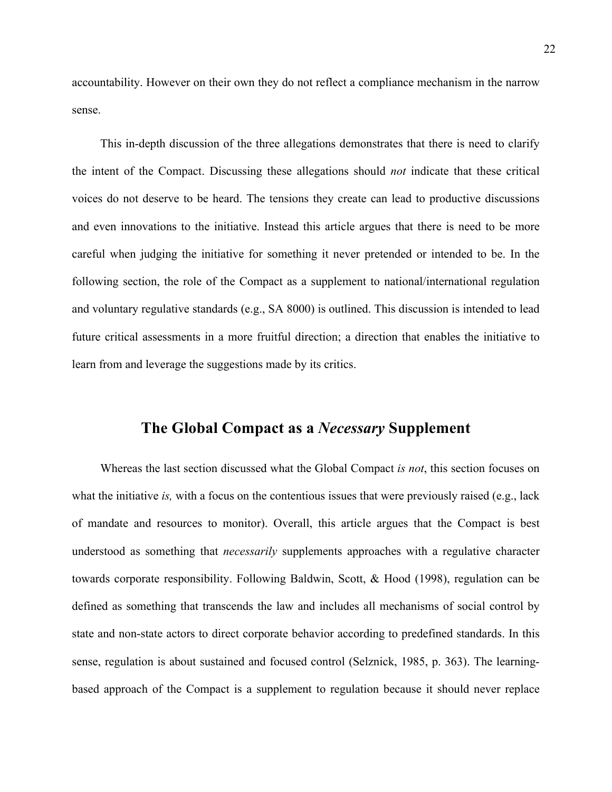accountability. However on their own they do not reflect a compliance mechanism in the narrow sense.

This in-depth discussion of the three allegations demonstrates that there is need to clarify the intent of the Compact. Discussing these allegations should *not* indicate that these critical voices do not deserve to be heard. The tensions they create can lead to productive discussions and even innovations to the initiative. Instead this article argues that there is need to be more careful when judging the initiative for something it never pretended or intended to be. In the following section, the role of the Compact as a supplement to national/international regulation and voluntary regulative standards (e.g., SA 8000) is outlined. This discussion is intended to lead future critical assessments in a more fruitful direction; a direction that enables the initiative to learn from and leverage the suggestions made by its critics.

## **The Global Compact as a** *Necessary* **Supplement**

Whereas the last section discussed what the Global Compact *is not*, this section focuses on what the initiative *is*, with a focus on the contentious issues that were previously raised (e.g., lack of mandate and resources to monitor). Overall, this article argues that the Compact is best understood as something that *necessarily* supplements approaches with a regulative character towards corporate responsibility. Following Baldwin, Scott, & Hood (1998), regulation can be defined as something that transcends the law and includes all mechanisms of social control by state and non-state actors to direct corporate behavior according to predefined standards. In this sense, regulation is about sustained and focused control (Selznick, 1985, p. 363). The learningbased approach of the Compact is a supplement to regulation because it should never replace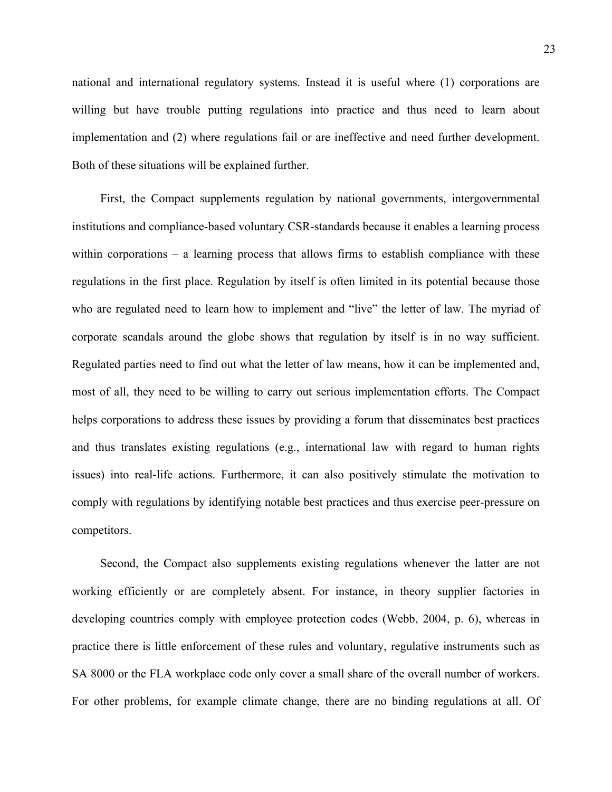national and international regulatory systems. Instead it is useful where (1) corporations are willing but have trouble putting regulations into practice and thus need to learn about implementation and (2) where regulations fail or are ineffective and need further development. Both of these situations will be explained further.

First, the Compact supplements regulation by national governments, intergovernmental institutions and compliance-based voluntary CSR-standards because it enables a learning process within corporations – a learning process that allows firms to establish compliance with these regulations in the first place. Regulation by itself is often limited in its potential because those who are regulated need to learn how to implement and "live" the letter of law. The myriad of corporate scandals around the globe shows that regulation by itself is in no way sufficient. Regulated parties need to find out what the letter of law means, how it can be implemented and, most of all, they need to be willing to carry out serious implementation efforts. The Compact helps corporations to address these issues by providing a forum that disseminates best practices and thus translates existing regulations (e.g., international law with regard to human rights issues) into real-life actions. Furthermore, it can also positively stimulate the motivation to comply with regulations by identifying notable best practices and thus exercise peer-pressure on competitors.

Second, the Compact also supplements existing regulations whenever the latter are not working efficiently or are completely absent. For instance, in theory supplier factories in developing countries comply with employee protection codes (Webb, 2004, p. 6), whereas in practice there is little enforcement of these rules and voluntary, regulative instruments such as SA 8000 or the FLA workplace code only cover a small share of the overall number of workers. For other problems, for example climate change, there are no binding regulations at all. Of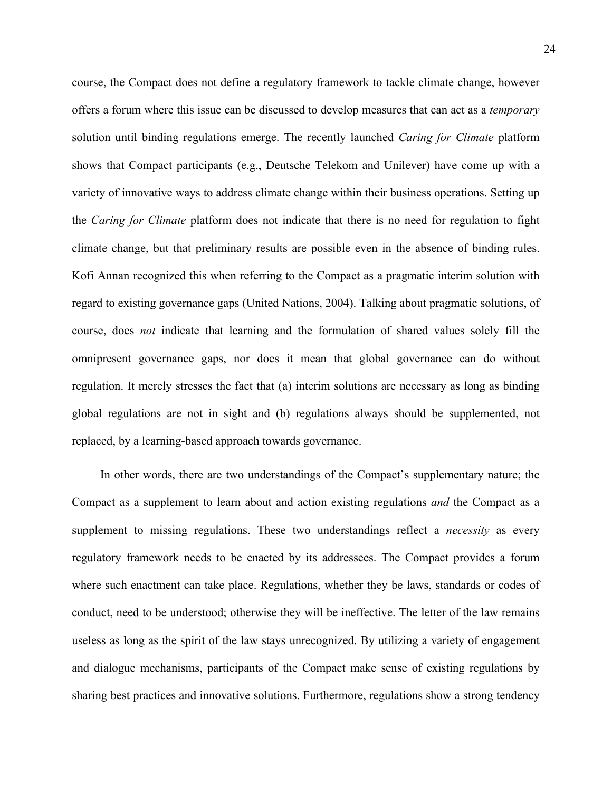course, the Compact does not define a regulatory framework to tackle climate change, however offers a forum where this issue can be discussed to develop measures that can act as a *temporary*  solution until binding regulations emerge. The recently launched *Caring for Climate* platform shows that Compact participants (e.g., Deutsche Telekom and Unilever) have come up with a variety of innovative ways to address climate change within their business operations. Setting up the *Caring for Climate* platform does not indicate that there is no need for regulation to fight climate change, but that preliminary results are possible even in the absence of binding rules. Kofi Annan recognized this when referring to the Compact as a pragmatic interim solution with regard to existing governance gaps (United Nations, 2004). Talking about pragmatic solutions, of course, does *not* indicate that learning and the formulation of shared values solely fill the omnipresent governance gaps, nor does it mean that global governance can do without regulation. It merely stresses the fact that (a) interim solutions are necessary as long as binding global regulations are not in sight and (b) regulations always should be supplemented, not replaced, by a learning-based approach towards governance.

In other words, there are two understandings of the Compact's supplementary nature; the Compact as a supplement to learn about and action existing regulations *and* the Compact as a supplement to missing regulations. These two understandings reflect a *necessity* as every regulatory framework needs to be enacted by its addressees. The Compact provides a forum where such enactment can take place. Regulations, whether they be laws, standards or codes of conduct, need to be understood; otherwise they will be ineffective. The letter of the law remains useless as long as the spirit of the law stays unrecognized. By utilizing a variety of engagement and dialogue mechanisms, participants of the Compact make sense of existing regulations by sharing best practices and innovative solutions. Furthermore, regulations show a strong tendency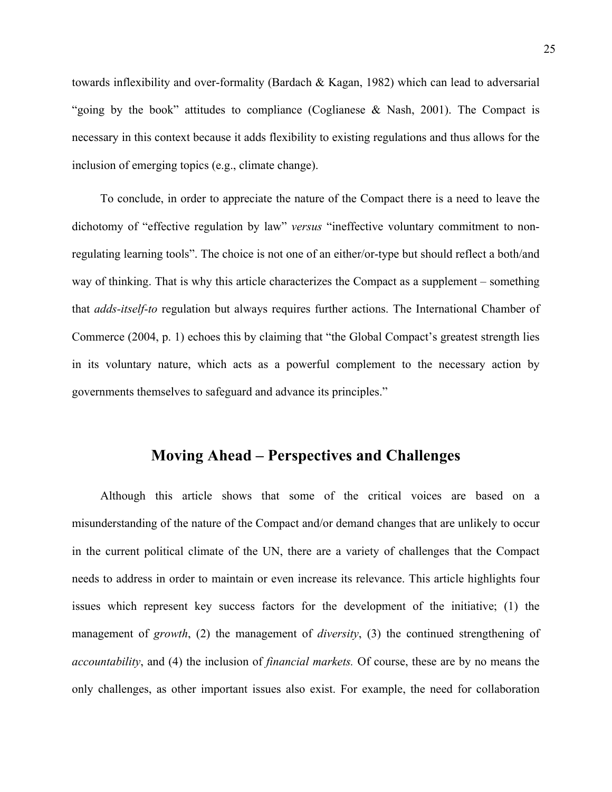towards inflexibility and over-formality (Bardach & Kagan, 1982) which can lead to adversarial "going by the book" attitudes to compliance (Coglianese & Nash, 2001). The Compact is necessary in this context because it adds flexibility to existing regulations and thus allows for the inclusion of emerging topics (e.g., climate change).

To conclude, in order to appreciate the nature of the Compact there is a need to leave the dichotomy of "effective regulation by law" *versus* "ineffective voluntary commitment to nonregulating learning tools". The choice is not one of an either/or-type but should reflect a both/and way of thinking. That is why this article characterizes the Compact as a supplement – something that *adds-itself-to* regulation but always requires further actions. The International Chamber of Commerce (2004, p. 1) echoes this by claiming that "the Global Compact's greatest strength lies in its voluntary nature, which acts as a powerful complement to the necessary action by governments themselves to safeguard and advance its principles."

## **Moving Ahead – Perspectives and Challenges**

Although this article shows that some of the critical voices are based on a misunderstanding of the nature of the Compact and/or demand changes that are unlikely to occur in the current political climate of the UN, there are a variety of challenges that the Compact needs to address in order to maintain or even increase its relevance. This article highlights four issues which represent key success factors for the development of the initiative; (1) the management of *growth*, (2) the management of *diversity*, (3) the continued strengthening of *accountability*, and (4) the inclusion of *financial markets.* Of course, these are by no means the only challenges, as other important issues also exist. For example, the need for collaboration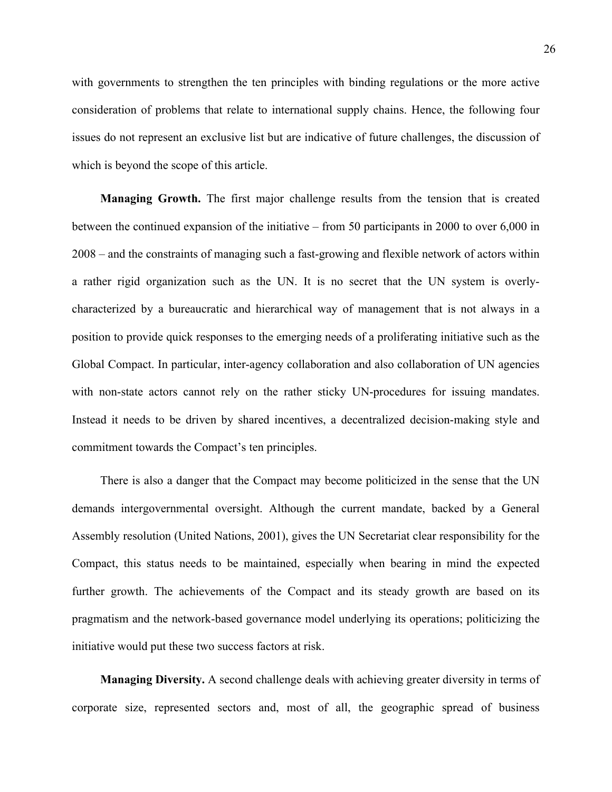with governments to strengthen the ten principles with binding regulations or the more active consideration of problems that relate to international supply chains. Hence, the following four issues do not represent an exclusive list but are indicative of future challenges, the discussion of which is beyond the scope of this article.

**Managing Growth.** The first major challenge results from the tension that is created between the continued expansion of the initiative – from 50 participants in 2000 to over 6,000 in 2008 – and the constraints of managing such a fast-growing and flexible network of actors within a rather rigid organization such as the UN. It is no secret that the UN system is overlycharacterized by a bureaucratic and hierarchical way of management that is not always in a position to provide quick responses to the emerging needs of a proliferating initiative such as the Global Compact. In particular, inter-agency collaboration and also collaboration of UN agencies with non-state actors cannot rely on the rather sticky UN-procedures for issuing mandates. Instead it needs to be driven by shared incentives, a decentralized decision-making style and commitment towards the Compact's ten principles.

There is also a danger that the Compact may become politicized in the sense that the UN demands intergovernmental oversight. Although the current mandate, backed by a General Assembly resolution (United Nations, 2001), gives the UN Secretariat clear responsibility for the Compact, this status needs to be maintained, especially when bearing in mind the expected further growth. The achievements of the Compact and its steady growth are based on its pragmatism and the network-based governance model underlying its operations; politicizing the initiative would put these two success factors at risk.

**Managing Diversity.** A second challenge deals with achieving greater diversity in terms of corporate size, represented sectors and, most of all, the geographic spread of business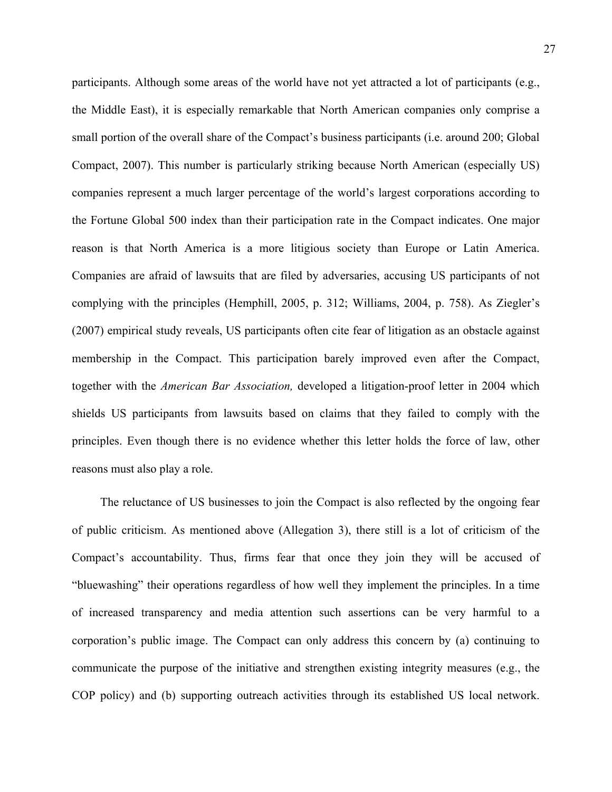participants. Although some areas of the world have not yet attracted a lot of participants (e.g., the Middle East), it is especially remarkable that North American companies only comprise a small portion of the overall share of the Compact's business participants (i.e. around 200; Global Compact, 2007). This number is particularly striking because North American (especially US) companies represent a much larger percentage of the world's largest corporations according to the Fortune Global 500 index than their participation rate in the Compact indicates. One major reason is that North America is a more litigious society than Europe or Latin America. Companies are afraid of lawsuits that are filed by adversaries, accusing US participants of not complying with the principles (Hemphill, 2005, p. 312; Williams, 2004, p. 758). As Ziegler's (2007) empirical study reveals, US participants often cite fear of litigation as an obstacle against membership in the Compact. This participation barely improved even after the Compact, together with the *American Bar Association,* developed a litigation-proof letter in 2004 which shields US participants from lawsuits based on claims that they failed to comply with the principles. Even though there is no evidence whether this letter holds the force of law, other reasons must also play a role.

The reluctance of US businesses to join the Compact is also reflected by the ongoing fear of public criticism. As mentioned above (Allegation 3), there still is a lot of criticism of the Compact's accountability. Thus, firms fear that once they join they will be accused of "bluewashing" their operations regardless of how well they implement the principles. In a time of increased transparency and media attention such assertions can be very harmful to a corporation's public image. The Compact can only address this concern by (a) continuing to communicate the purpose of the initiative and strengthen existing integrity measures (e.g., the COP policy) and (b) supporting outreach activities through its established US local network.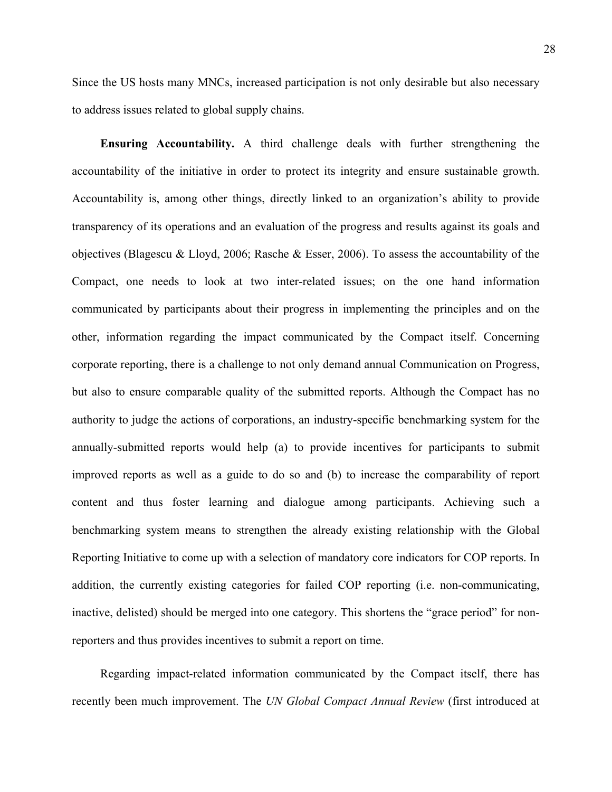Since the US hosts many MNCs, increased participation is not only desirable but also necessary to address issues related to global supply chains.

**Ensuring Accountability.** A third challenge deals with further strengthening the accountability of the initiative in order to protect its integrity and ensure sustainable growth. Accountability is, among other things, directly linked to an organization's ability to provide transparency of its operations and an evaluation of the progress and results against its goals and objectives (Blagescu & Lloyd, 2006; Rasche & Esser, 2006). To assess the accountability of the Compact, one needs to look at two inter-related issues; on the one hand information communicated by participants about their progress in implementing the principles and on the other, information regarding the impact communicated by the Compact itself. Concerning corporate reporting, there is a challenge to not only demand annual Communication on Progress, but also to ensure comparable quality of the submitted reports. Although the Compact has no authority to judge the actions of corporations, an industry-specific benchmarking system for the annually-submitted reports would help (a) to provide incentives for participants to submit improved reports as well as a guide to do so and (b) to increase the comparability of report content and thus foster learning and dialogue among participants. Achieving such a benchmarking system means to strengthen the already existing relationship with the Global Reporting Initiative to come up with a selection of mandatory core indicators for COP reports. In addition, the currently existing categories for failed COP reporting (i.e. non-communicating, inactive, delisted) should be merged into one category. This shortens the "grace period" for nonreporters and thus provides incentives to submit a report on time.

Regarding impact-related information communicated by the Compact itself, there has recently been much improvement. The *UN Global Compact Annual Review* (first introduced at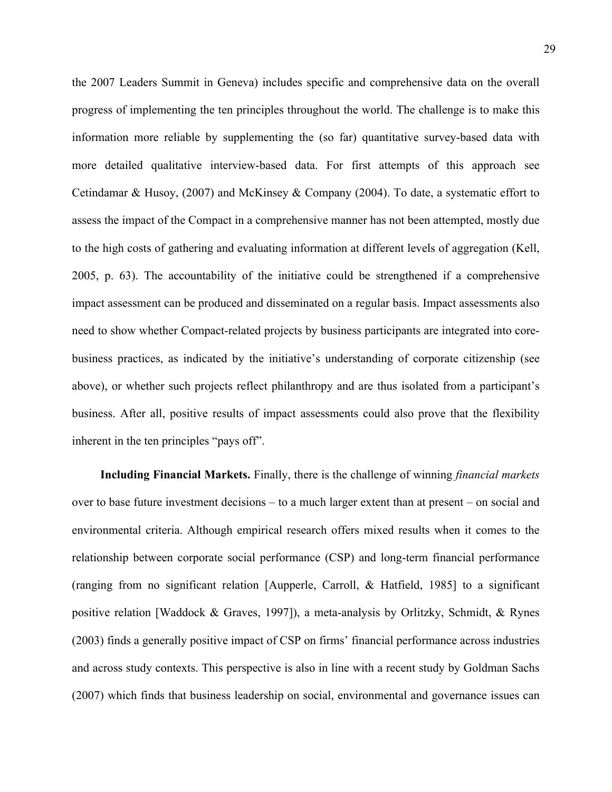the 2007 Leaders Summit in Geneva) includes specific and comprehensive data on the overall progress of implementing the ten principles throughout the world. The challenge is to make this information more reliable by supplementing the (so far) quantitative survey-based data with more detailed qualitative interview-based data. For first attempts of this approach see Cetindamar & Husoy, (2007) and McKinsey & Company (2004). To date, a systematic effort to assess the impact of the Compact in a comprehensive manner has not been attempted, mostly due to the high costs of gathering and evaluating information at different levels of aggregation (Kell, 2005, p. 63). The accountability of the initiative could be strengthened if a comprehensive impact assessment can be produced and disseminated on a regular basis. Impact assessments also need to show whether Compact-related projects by business participants are integrated into corebusiness practices, as indicated by the initiative's understanding of corporate citizenship (see above), or whether such projects reflect philanthropy and are thus isolated from a participant's business. After all, positive results of impact assessments could also prove that the flexibility inherent in the ten principles "pays off".

**Including Financial Markets.** Finally, there is the challenge of winning *financial markets* over to base future investment decisions – to a much larger extent than at present – on social and environmental criteria. Although empirical research offers mixed results when it comes to the relationship between corporate social performance (CSP) and long-term financial performance (ranging from no significant relation [Aupperle, Carroll, & Hatfield, 1985] to a significant positive relation [Waddock & Graves, 1997]), a meta-analysis by Orlitzky, Schmidt, & Rynes (2003) finds a generally positive impact of CSP on firms' financial performance across industries and across study contexts. This perspective is also in line with a recent study by Goldman Sachs (2007) which finds that business leadership on social, environmental and governance issues can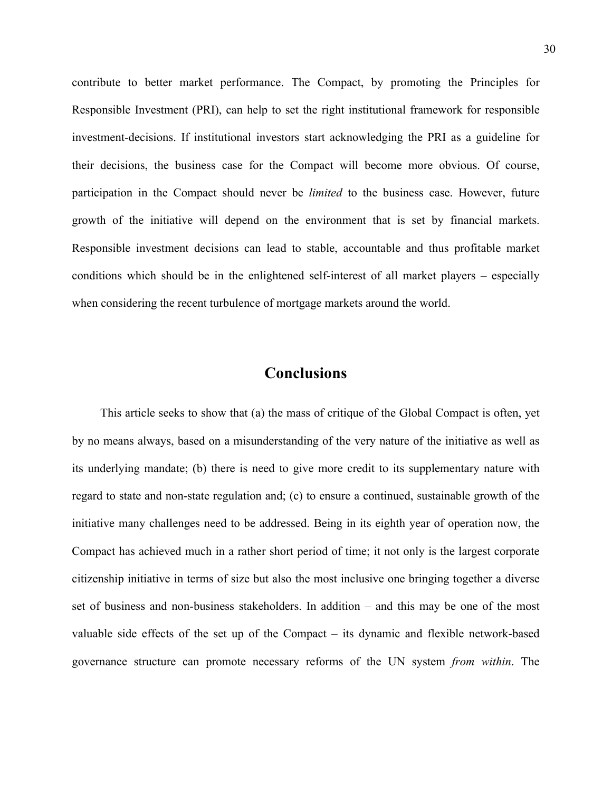contribute to better market performance. The Compact, by promoting the Principles for Responsible Investment (PRI), can help to set the right institutional framework for responsible investment-decisions. If institutional investors start acknowledging the PRI as a guideline for their decisions, the business case for the Compact will become more obvious. Of course, participation in the Compact should never be *limited* to the business case. However, future growth of the initiative will depend on the environment that is set by financial markets. Responsible investment decisions can lead to stable, accountable and thus profitable market conditions which should be in the enlightened self-interest of all market players – especially when considering the recent turbulence of mortgage markets around the world.

## **Conclusions**

This article seeks to show that (a) the mass of critique of the Global Compact is often, yet by no means always, based on a misunderstanding of the very nature of the initiative as well as its underlying mandate; (b) there is need to give more credit to its supplementary nature with regard to state and non-state regulation and; (c) to ensure a continued, sustainable growth of the initiative many challenges need to be addressed. Being in its eighth year of operation now, the Compact has achieved much in a rather short period of time; it not only is the largest corporate citizenship initiative in terms of size but also the most inclusive one bringing together a diverse set of business and non-business stakeholders. In addition – and this may be one of the most valuable side effects of the set up of the Compact – its dynamic and flexible network-based governance structure can promote necessary reforms of the UN system *from within*. The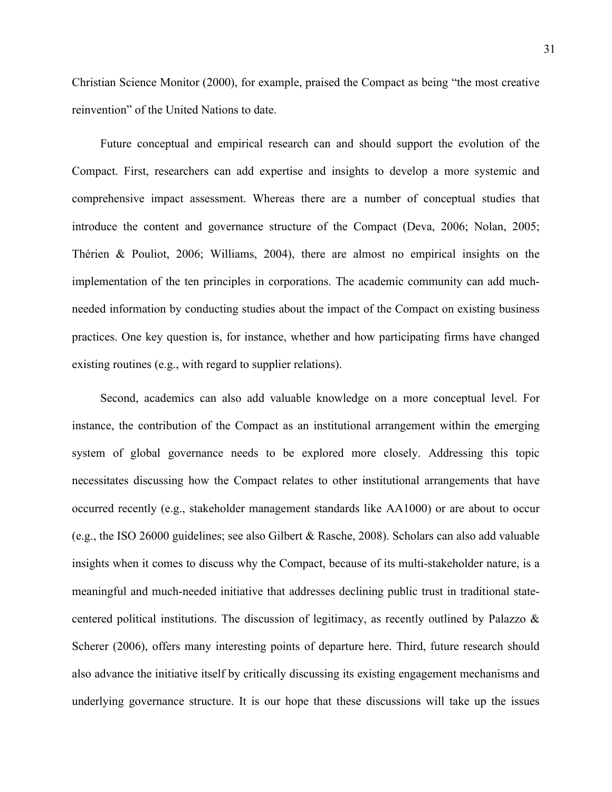Christian Science Monitor (2000), for example, praised the Compact as being "the most creative reinvention" of the United Nations to date.

Future conceptual and empirical research can and should support the evolution of the Compact. First, researchers can add expertise and insights to develop a more systemic and comprehensive impact assessment. Whereas there are a number of conceptual studies that introduce the content and governance structure of the Compact (Deva, 2006; Nolan, 2005; Thérien & Pouliot, 2006; Williams, 2004), there are almost no empirical insights on the implementation of the ten principles in corporations. The academic community can add muchneeded information by conducting studies about the impact of the Compact on existing business practices. One key question is, for instance, whether and how participating firms have changed existing routines (e.g., with regard to supplier relations).

Second, academics can also add valuable knowledge on a more conceptual level. For instance, the contribution of the Compact as an institutional arrangement within the emerging system of global governance needs to be explored more closely. Addressing this topic necessitates discussing how the Compact relates to other institutional arrangements that have occurred recently (e.g., stakeholder management standards like AA1000) or are about to occur (e.g., the ISO 26000 guidelines; see also Gilbert & Rasche, 2008). Scholars can also add valuable insights when it comes to discuss why the Compact, because of its multi-stakeholder nature, is a meaningful and much-needed initiative that addresses declining public trust in traditional statecentered political institutions. The discussion of legitimacy, as recently outlined by Palazzo & Scherer (2006), offers many interesting points of departure here. Third, future research should also advance the initiative itself by critically discussing its existing engagement mechanisms and underlying governance structure. It is our hope that these discussions will take up the issues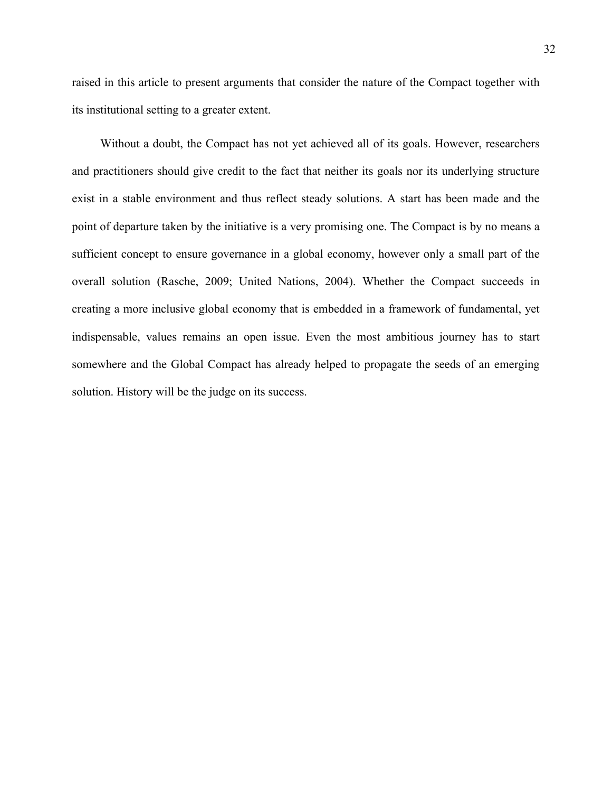raised in this article to present arguments that consider the nature of the Compact together with its institutional setting to a greater extent.

Without a doubt, the Compact has not yet achieved all of its goals. However, researchers and practitioners should give credit to the fact that neither its goals nor its underlying structure exist in a stable environment and thus reflect steady solutions. A start has been made and the point of departure taken by the initiative is a very promising one. The Compact is by no means a sufficient concept to ensure governance in a global economy, however only a small part of the overall solution (Rasche, 2009; United Nations, 2004). Whether the Compact succeeds in creating a more inclusive global economy that is embedded in a framework of fundamental, yet indispensable, values remains an open issue. Even the most ambitious journey has to start somewhere and the Global Compact has already helped to propagate the seeds of an emerging solution. History will be the judge on its success.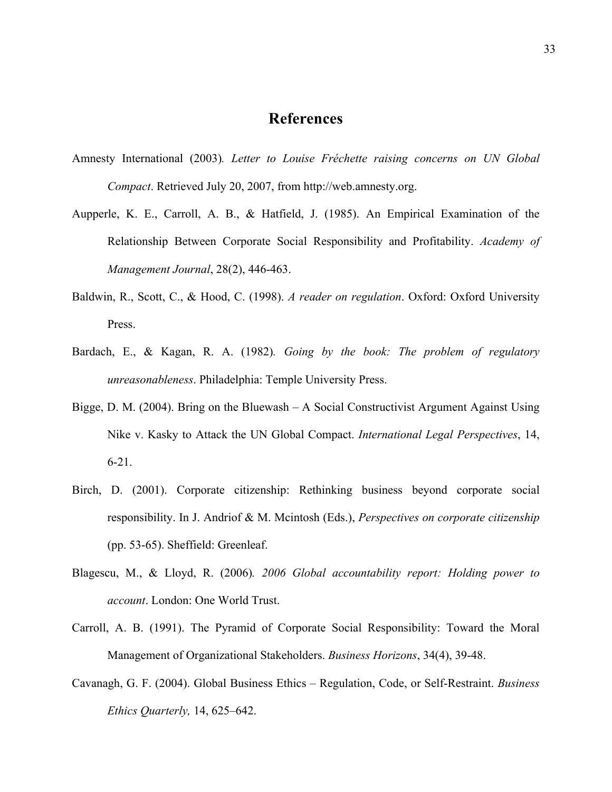## **References**

- Amnesty International (2003)*. Letter to Louise Fréchette raising concerns on UN Global Compact*. Retrieved July 20, 2007, from http://web.amnesty.org.
- Aupperle, K. E., Carroll, A. B., & Hatfield, J. (1985). An Empirical Examination of the Relationship Between Corporate Social Responsibility and Profitability. *Academy of Management Journal*, 28(2), 446-463.
- Baldwin, R., Scott, C., & Hood, C. (1998). *A reader on regulation*. Oxford: Oxford University Press.
- Bardach, E., & Kagan, R. A. (1982)*. Going by the book: The problem of regulatory unreasonableness*. Philadelphia: Temple University Press.
- Bigge, D. M. (2004). Bring on the Bluewash A Social Constructivist Argument Against Using Nike v. Kasky to Attack the UN Global Compact. *International Legal Perspectives*, 14, 6-21.
- Birch, D. (2001). Corporate citizenship: Rethinking business beyond corporate social responsibility. In J. Andriof & M. Mcintosh (Eds.), *Perspectives on corporate citizenship* (pp. 53-65). Sheffield: Greenleaf.
- Blagescu, M., & Lloyd, R. (2006)*. 2006 Global accountability report: Holding power to account*. London: One World Trust.
- Carroll, A. B. (1991). The Pyramid of Corporate Social Responsibility: Toward the Moral Management of Organizational Stakeholders. *Business Horizons*, 34(4), 39-48.
- Cavanagh, G. F. (2004). Global Business Ethics Regulation, Code, or Self-Restraint. *Business Ethics Quarterly,* 14, 625–642.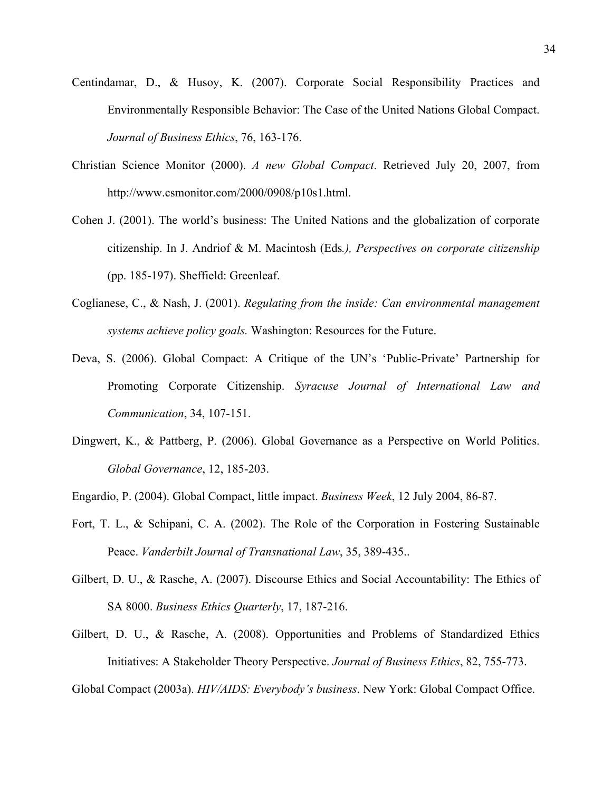- Centindamar, D., & Husoy, K. (2007). Corporate Social Responsibility Practices and Environmentally Responsible Behavior: The Case of the United Nations Global Compact. *Journal of Business Ethics*, 76, 163-176.
- Christian Science Monitor (2000). *A new Global Compact*. Retrieved July 20, 2007, from http://www.csmonitor.com/2000/0908/p10s1.html.
- Cohen J. (2001). The world's business: The United Nations and the globalization of corporate citizenship. In J. Andriof & M. Macintosh (Eds*.), Perspectives on corporate citizenship* (pp. 185-197). Sheffield: Greenleaf.
- Coglianese, C., & Nash, J. (2001). *Regulating from the inside: Can environmental management systems achieve policy goals.* Washington: Resources for the Future.
- Deva, S. (2006). Global Compact: A Critique of the UN's 'Public-Private' Partnership for Promoting Corporate Citizenship. *Syracuse Journal of International Law and Communication*, 34, 107-151.
- Dingwert, K., & Pattberg, P. (2006). Global Governance as a Perspective on World Politics. *Global Governance*, 12, 185-203.
- Engardio, P. (2004). Global Compact, little impact. *Business Week*, 12 July 2004, 86-87.
- Fort, T. L., & Schipani, C. A. (2002). The Role of the Corporation in Fostering Sustainable Peace. *Vanderbilt Journal of Transnational Law*, 35, 389-435..
- Gilbert, D. U., & Rasche, A. (2007). Discourse Ethics and Social Accountability: The Ethics of SA 8000. *Business Ethics Quarterly*, 17, 187-216.
- Gilbert, D. U., & Rasche, A. (2008). Opportunities and Problems of Standardized Ethics Initiatives: A Stakeholder Theory Perspective. *Journal of Business Ethics*, 82, 755-773.

Global Compact (2003a). *HIV/AIDS: Everybody's business*. New York: Global Compact Office.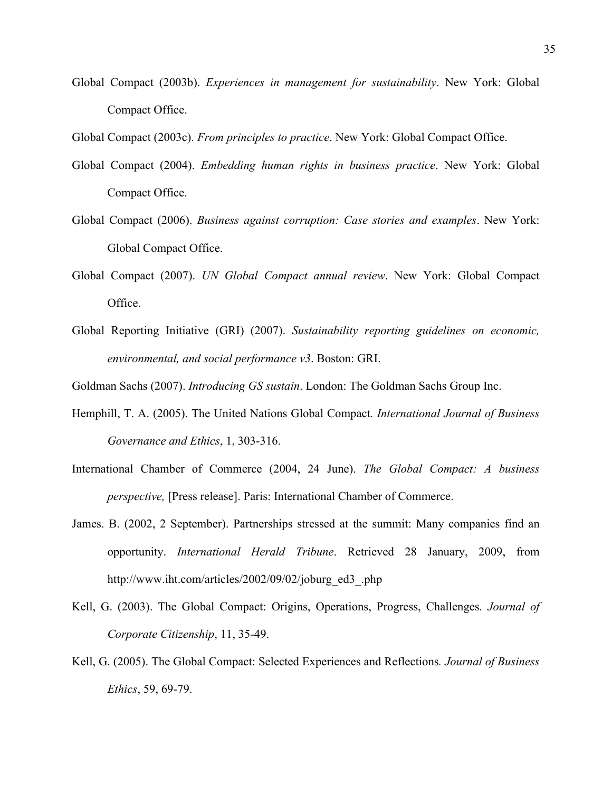- Global Compact (2003b). *Experiences in management for sustainability*. New York: Global Compact Office.
- Global Compact (2003c). *From principles to practice*. New York: Global Compact Office.
- Global Compact (2004). *Embedding human rights in business practice*. New York: Global Compact Office.
- Global Compact (2006). *Business against corruption: Case stories and examples*. New York: Global Compact Office.
- Global Compact (2007). *UN Global Compact annual review*. New York: Global Compact Office.
- Global Reporting Initiative (GRI) (2007). *Sustainability reporting guidelines on economic, environmental, and social performance v3*. Boston: GRI.
- Goldman Sachs (2007). *Introducing GS sustain*. London: The Goldman Sachs Group Inc.
- Hemphill, T. A. (2005). The United Nations Global Compact*. International Journal of Business Governance and Ethics*, 1, 303-316.
- International Chamber of Commerce (2004, 24 June). *The Global Compact: A business perspective,* [Press release]. Paris: International Chamber of Commerce.
- James. B. (2002, 2 September). Partnerships stressed at the summit: Many companies find an opportunity. *International Herald Tribune*. Retrieved 28 January, 2009, from http://www.iht.com/articles/2002/09/02/joburg\_ed3\_.php
- Kell, G. (2003). The Global Compact: Origins, Operations, Progress, Challenges*. Journal of Corporate Citizenship*, 11, 35-49.
- Kell, G. (2005). The Global Compact: Selected Experiences and Reflections*. Journal of Business Ethics*, 59, 69-79.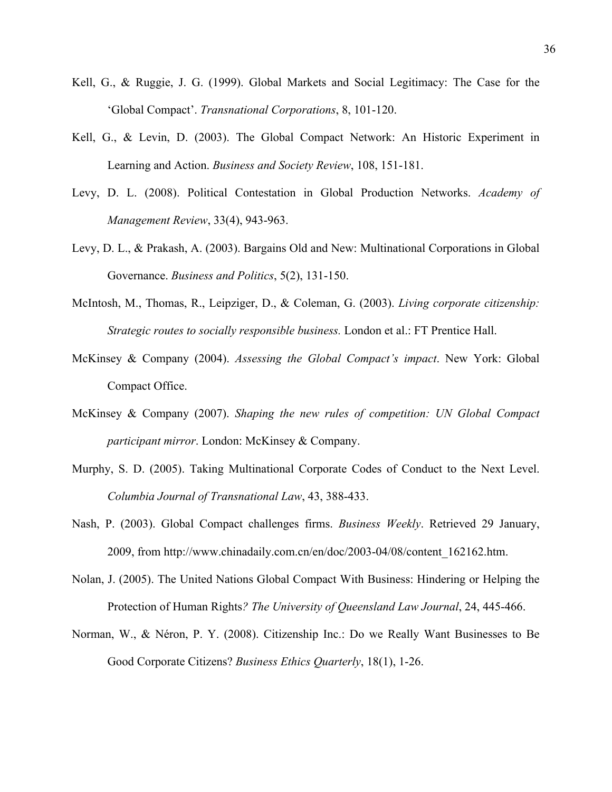- Kell, G., & Ruggie, J. G. (1999). Global Markets and Social Legitimacy: The Case for the 'Global Compact'. *Transnational Corporations*, 8, 101-120.
- Kell, G., & Levin, D. (2003). The Global Compact Network: An Historic Experiment in Learning and Action. *Business and Society Review*, 108, 151-181.
- Levy, D. L. (2008). Political Contestation in Global Production Networks. *Academy of Management Review*, 33(4), 943-963.
- Levy, D. L., & Prakash, A. (2003). Bargains Old and New: Multinational Corporations in Global Governance. *Business and Politics*, 5(2), 131-150.
- McIntosh, M., Thomas, R., Leipziger, D., & Coleman, G. (2003). *Living corporate citizenship: Strategic routes to socially responsible business.* London et al.: FT Prentice Hall.
- McKinsey & Company (2004). *Assessing the Global Compact's impact*. New York: Global Compact Office.
- McKinsey & Company (2007). *Shaping the new rules of competition: UN Global Compact participant mirror*. London: McKinsey & Company.
- Murphy, S. D. (2005). Taking Multinational Corporate Codes of Conduct to the Next Level. *Columbia Journal of Transnational Law*, 43, 388-433.
- Nash, P. (2003). Global Compact challenges firms. *Business Weekly*. Retrieved 29 January, 2009, from http://www.chinadaily.com.cn/en/doc/2003-04/08/content\_162162.htm.
- Nolan, J. (2005). The United Nations Global Compact With Business: Hindering or Helping the Protection of Human Rights*? The University of Queensland Law Journal*, 24, 445-466.
- Norman, W., & Néron, P. Y. (2008). Citizenship Inc.: Do we Really Want Businesses to Be Good Corporate Citizens? *Business Ethics Quarterly*, 18(1), 1-26.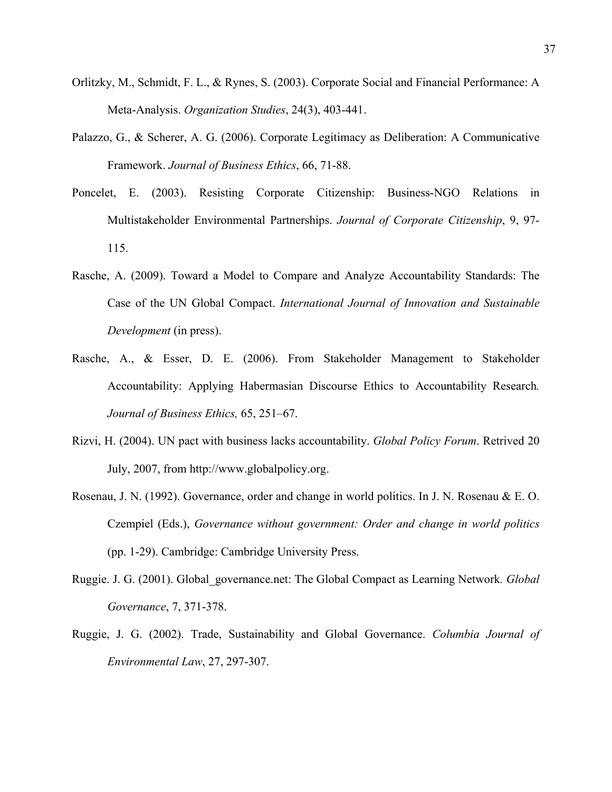- Orlitzky, M., Schmidt, F. L., & Rynes, S. (2003). Corporate Social and Financial Performance: A Meta-Analysis. *Organization Studies*, 24(3), 403-441.
- Palazzo, G., & Scherer, A. G. (2006). Corporate Legitimacy as Deliberation: A Communicative Framework. *Journal of Business Ethics*, 66, 71-88.
- Poncelet, E. (2003). Resisting Corporate Citizenship: Business-NGO Relations in Multistakeholder Environmental Partnerships. *Journal of Corporate Citizenship*, 9, 97- 115.
- Rasche, A. (2009). Toward a Model to Compare and Analyze Accountability Standards: The Case of the UN Global Compact. *International Journal of Innovation and Sustainable Development* (in press).
- Rasche, A., & Esser, D. E. (2006). From Stakeholder Management to Stakeholder Accountability: Applying Habermasian Discourse Ethics to Accountability Research*. Journal of Business Ethics,* 65, 251–67.
- Rizvi, H. (2004). UN pact with business lacks accountability. *Global Policy Forum*. Retrived 20 July, 2007, from http://www.globalpolicy.org.
- Rosenau, J. N. (1992). Governance, order and change in world politics. In J. N. Rosenau & E. O. Czempiel (Eds.), *Governance without government: Order and change in world politics* (pp. 1-29). Cambridge: Cambridge University Press.
- Ruggie. J. G. (2001). Global\_governance.net: The Global Compact as Learning Network*. Global Governance*, 7, 371-378.
- Ruggie, J. G. (2002). Trade, Sustainability and Global Governance. *Columbia Journal of Environmental Law*, 27, 297-307.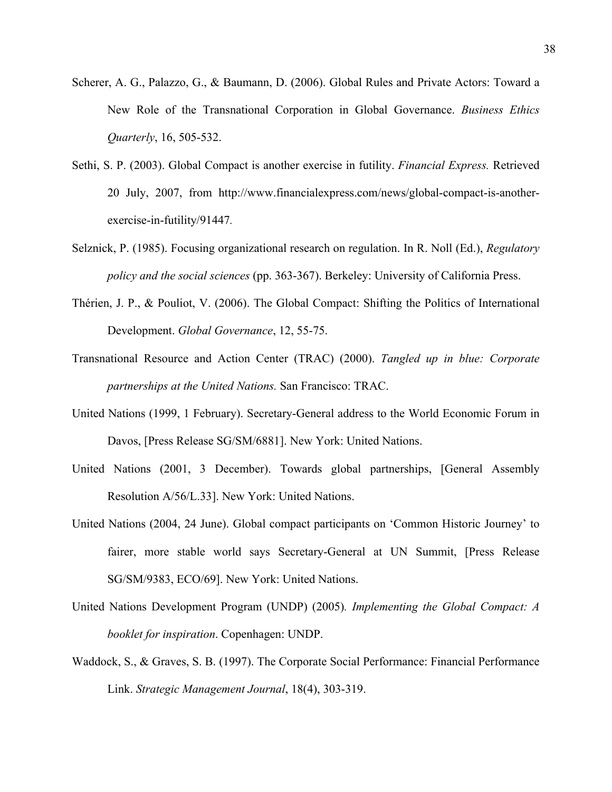- Scherer, A. G., Palazzo, G., & Baumann, D. (2006). Global Rules and Private Actors: Toward a New Role of the Transnational Corporation in Global Governance. *Business Ethics Quarterly*, 16, 505-532.
- Sethi, S. P. (2003). Global Compact is another exercise in futility. *Financial Express.* Retrieved 20 July, 2007, from http://www.financialexpress.com/news/global-compact-is-anotherexercise-in-futility/91447*.*
- Selznick, P. (1985). Focusing organizational research on regulation. In R. Noll (Ed.), *Regulatory policy and the social sciences* (pp. 363-367). Berkeley: University of California Press.
- Thérien, J. P., & Pouliot, V. (2006). The Global Compact: Shifting the Politics of International Development. *Global Governance*, 12, 55-75.
- Transnational Resource and Action Center (TRAC) (2000). *Tangled up in blue: Corporate partnerships at the United Nations.* San Francisco: TRAC.
- United Nations (1999, 1 February). Secretary-General address to the World Economic Forum in Davos, [Press Release SG/SM/6881]. New York: United Nations.
- United Nations (2001, 3 December). Towards global partnerships, [General Assembly Resolution A/56/L.33]. New York: United Nations.
- United Nations (2004, 24 June). Global compact participants on 'Common Historic Journey' to fairer, more stable world says Secretary-General at UN Summit, [Press Release SG/SM/9383, ECO/69]. New York: United Nations.
- United Nations Development Program (UNDP) (2005)*. Implementing the Global Compact: A booklet for inspiration*. Copenhagen: UNDP.
- Waddock, S., & Graves, S. B. (1997). The Corporate Social Performance: Financial Performance Link. *Strategic Management Journal*, 18(4), 303-319.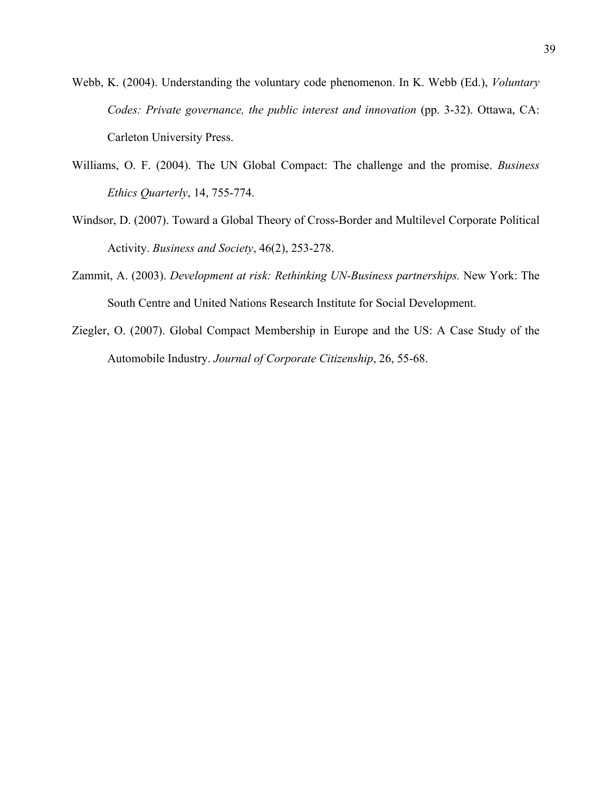- Webb, K. (2004). Understanding the voluntary code phenomenon. In K. Webb (Ed.), *Voluntary Codes: Private governance, the public interest and innovation* (pp. 3-32). Ottawa, CA: Carleton University Press.
- Williams, O. F. (2004). The UN Global Compact: The challenge and the promise. *Business Ethics Quarterly*, 14, 755-774.
- Windsor, D. (2007). Toward a Global Theory of Cross-Border and Multilevel Corporate Political Activity. *Business and Society*, 46(2), 253-278.
- Zammit, A. (2003). *Development at risk: Rethinking UN-Business partnerships.* New York: The South Centre and United Nations Research Institute for Social Development.
- Ziegler, O. (2007). Global Compact Membership in Europe and the US: A Case Study of the Automobile Industry. *Journal of Corporate Citizenship*, 26, 55-68.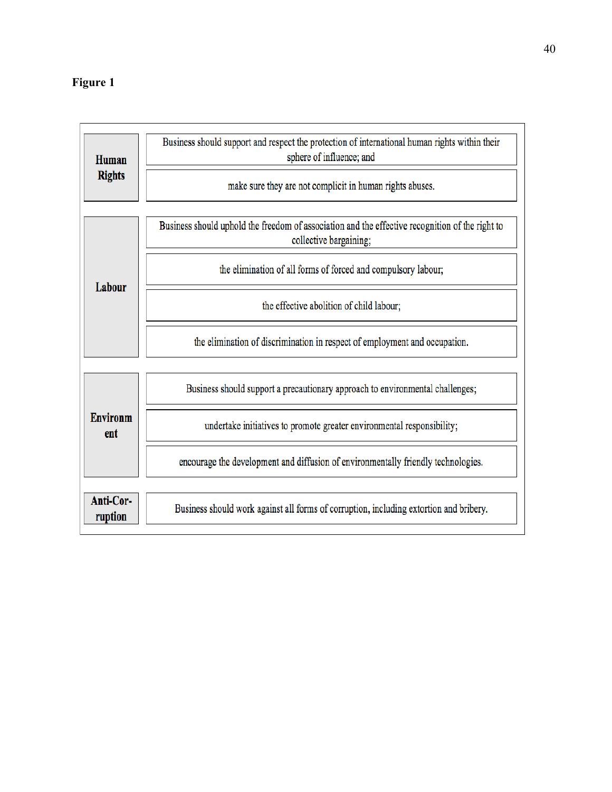## **Figure 1**